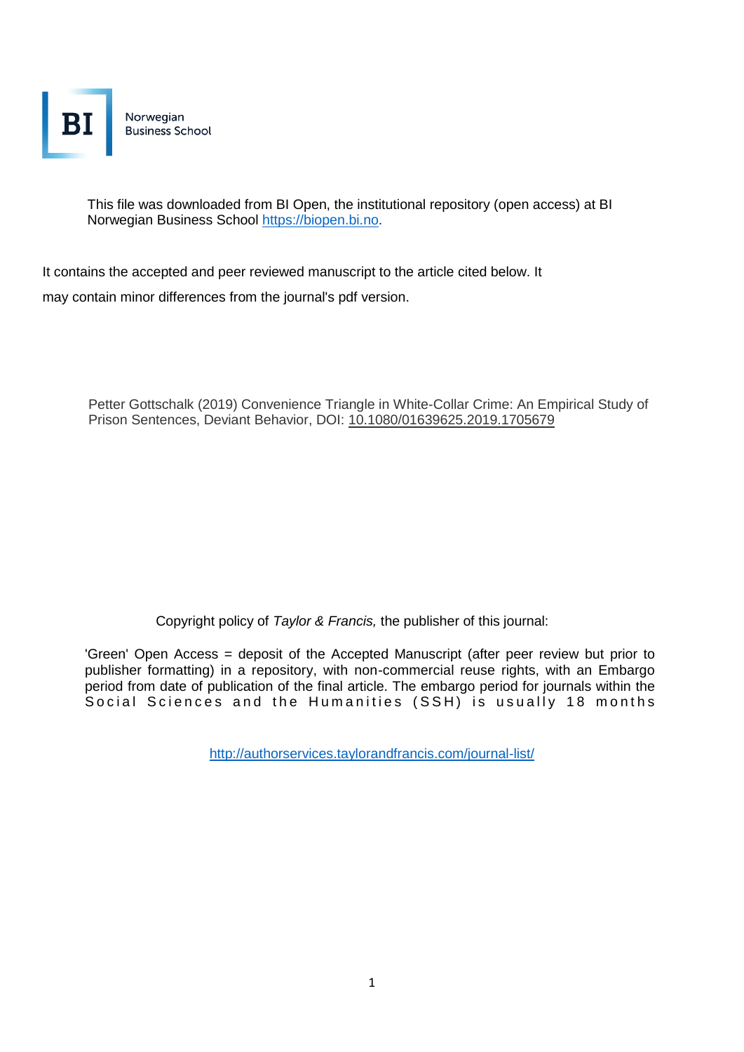

This file was downloaded from BI Open, the institutional repository (open access) at BI Norwegian Business School https://biopen.bi.no.

It contains the accepted and peer reviewed manuscript to the article cited below. It

may contain minor differences from the journal's pdf version.

Petter Gottschalk (2019) Convenience Triangle in White-Collar Crime: An Empirical Study of Prison Sentences, Deviant Behavior, DOI: [10.1080/01639625.2019.1705679](https://doi.org/10.1080/01639625.2019.1705679)

Copyright policy of *Taylor & Francis,* the publisher of this journal:

'Green' Open Access = deposit of the Accepted Manuscript (after peer review but prior to publisher formatting) in a repository, with non-commercial reuse rights, with an Embargo period from date of publication of the final article. The embargo period for journals within the Social Sciences and the Humanities (SSH) is usually 18 months

<http://authorservices.taylorandfrancis.com/journal-list/>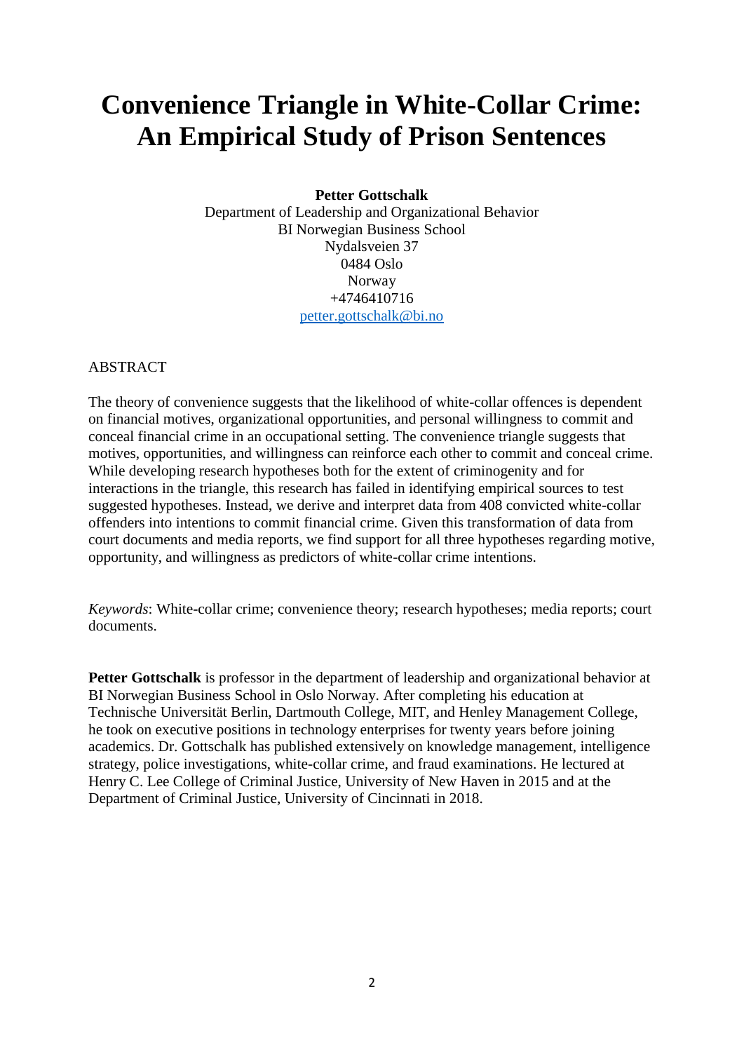# **Convenience Triangle in White-Collar Crime: An Empirical Study of Prison Sentences**

# **Petter Gottschalk**

Department of Leadership and Organizational Behavior BI Norwegian Business School Nydalsveien 37 0484 Oslo Norway +4746410716 [petter.gottschalk@bi.no](mailto:petter.gottschalk@bi.no)

# ABSTRACT

The theory of convenience suggests that the likelihood of white-collar offences is dependent on financial motives, organizational opportunities, and personal willingness to commit and conceal financial crime in an occupational setting. The convenience triangle suggests that motives, opportunities, and willingness can reinforce each other to commit and conceal crime. While developing research hypotheses both for the extent of criminogenity and for interactions in the triangle, this research has failed in identifying empirical sources to test suggested hypotheses. Instead, we derive and interpret data from 408 convicted white-collar offenders into intentions to commit financial crime. Given this transformation of data from court documents and media reports, we find support for all three hypotheses regarding motive, opportunity, and willingness as predictors of white-collar crime intentions.

*Keywords*: White-collar crime; convenience theory; research hypotheses; media reports; court documents.

**Petter Gottschalk** is professor in the department of leadership and organizational behavior at BI Norwegian Business School in Oslo Norway. After completing his education at Technische Universität Berlin, Dartmouth College, MIT, and Henley Management College, he took on executive positions in technology enterprises for twenty years before joining academics. Dr. Gottschalk has published extensively on knowledge management, intelligence strategy, police investigations, white-collar crime, and fraud examinations. He lectured at Henry C. Lee College of Criminal Justice, University of New Haven in 2015 and at the Department of Criminal Justice, University of Cincinnati in 2018.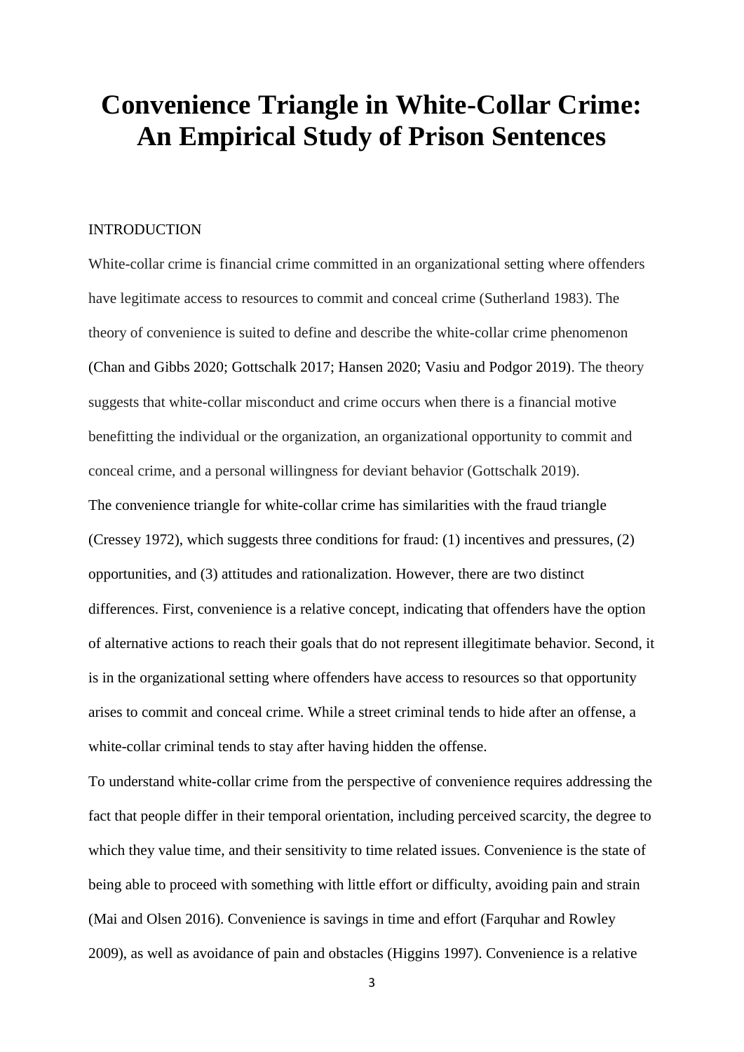# **Convenience Triangle in White-Collar Crime: An Empirical Study of Prison Sentences**

## **INTRODUCTION**

White-collar crime is financial crime committed in an organizational setting where offenders have legitimate access to resources to commit and conceal crime (Sutherland 1983). The theory of convenience is suited to define and describe the white-collar crime phenomenon (Chan and Gibbs 2020; Gottschalk 2017; Hansen 2020; Vasiu and Podgor 2019). The theory suggests that white-collar misconduct and crime occurs when there is a financial motive benefitting the individual or the organization, an organizational opportunity to commit and conceal crime, and a personal willingness for deviant behavior (Gottschalk 2019). The convenience triangle for white-collar crime has similarities with the fraud triangle (Cressey 1972), which suggests three conditions for fraud: (1) incentives and pressures, (2) opportunities, and (3) attitudes and rationalization. However, there are two distinct differences. First, convenience is a relative concept, indicating that offenders have the option of alternative actions to reach their goals that do not represent illegitimate behavior. Second, it is in the organizational setting where offenders have access to resources so that opportunity arises to commit and conceal crime. While a street criminal tends to hide after an offense, a white-collar criminal tends to stay after having hidden the offense.

To understand white-collar crime from the perspective of convenience requires addressing the fact that people differ in their temporal orientation, including perceived scarcity, the degree to which they value time, and their sensitivity to time related issues. Convenience is the state of being able to proceed with something with little effort or difficulty, avoiding pain and strain (Mai and Olsen 2016). Convenience is savings in time and effort (Farquhar and Rowley 2009), as well as avoidance of pain and obstacles (Higgins 1997). Convenience is a relative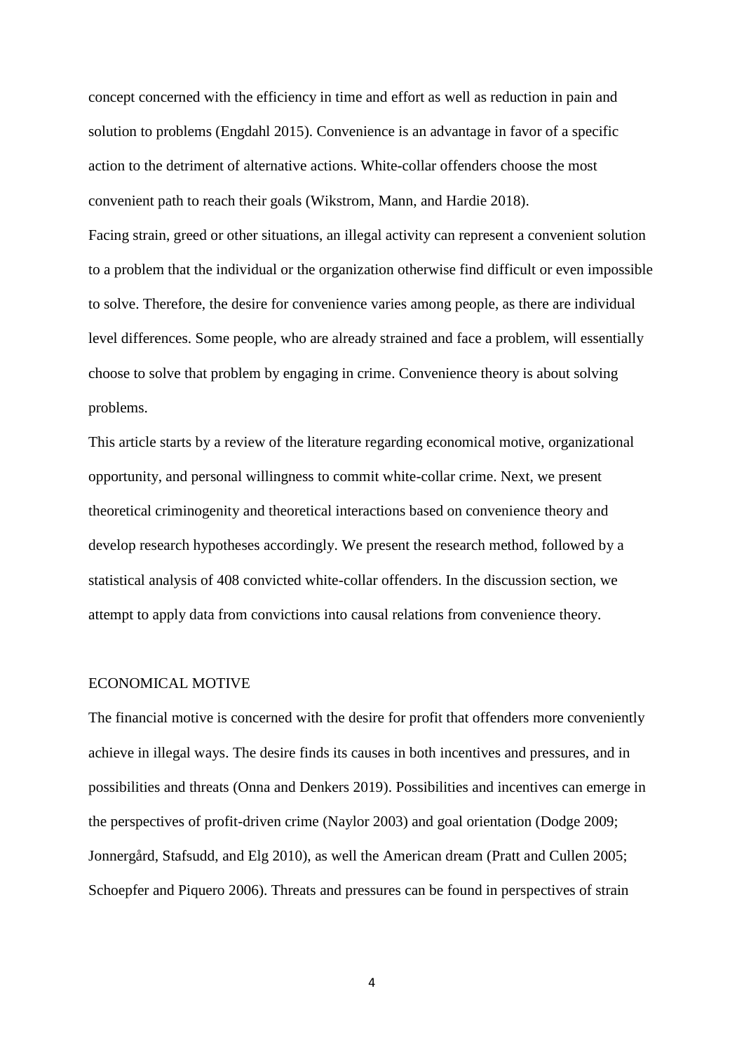concept concerned with the efficiency in time and effort as well as reduction in pain and solution to problems (Engdahl 2015). Convenience is an advantage in favor of a specific action to the detriment of alternative actions. White-collar offenders choose the most convenient path to reach their goals (Wikstrom, Mann, and Hardie 2018). Facing strain, greed or other situations, an illegal activity can represent a convenient solution

to a problem that the individual or the organization otherwise find difficult or even impossible to solve. Therefore, the desire for convenience varies among people, as there are individual level differences. Some people, who are already strained and face a problem, will essentially choose to solve that problem by engaging in crime. Convenience theory is about solving problems.

This article starts by a review of the literature regarding economical motive, organizational opportunity, and personal willingness to commit white-collar crime. Next, we present theoretical criminogenity and theoretical interactions based on convenience theory and develop research hypotheses accordingly. We present the research method, followed by a statistical analysis of 408 convicted white-collar offenders. In the discussion section, we attempt to apply data from convictions into causal relations from convenience theory.

#### ECONOMICAL MOTIVE

The financial motive is concerned with the desire for profit that offenders more conveniently achieve in illegal ways. The desire finds its causes in both incentives and pressures, and in possibilities and threats (Onna and Denkers 2019). Possibilities and incentives can emerge in the perspectives of profit-driven crime (Naylor 2003) and goal orientation (Dodge 2009; Jonnergård, Stafsudd, and Elg 2010), as well the American dream (Pratt and Cullen 2005; Schoepfer and Piquero 2006). Threats and pressures can be found in perspectives of strain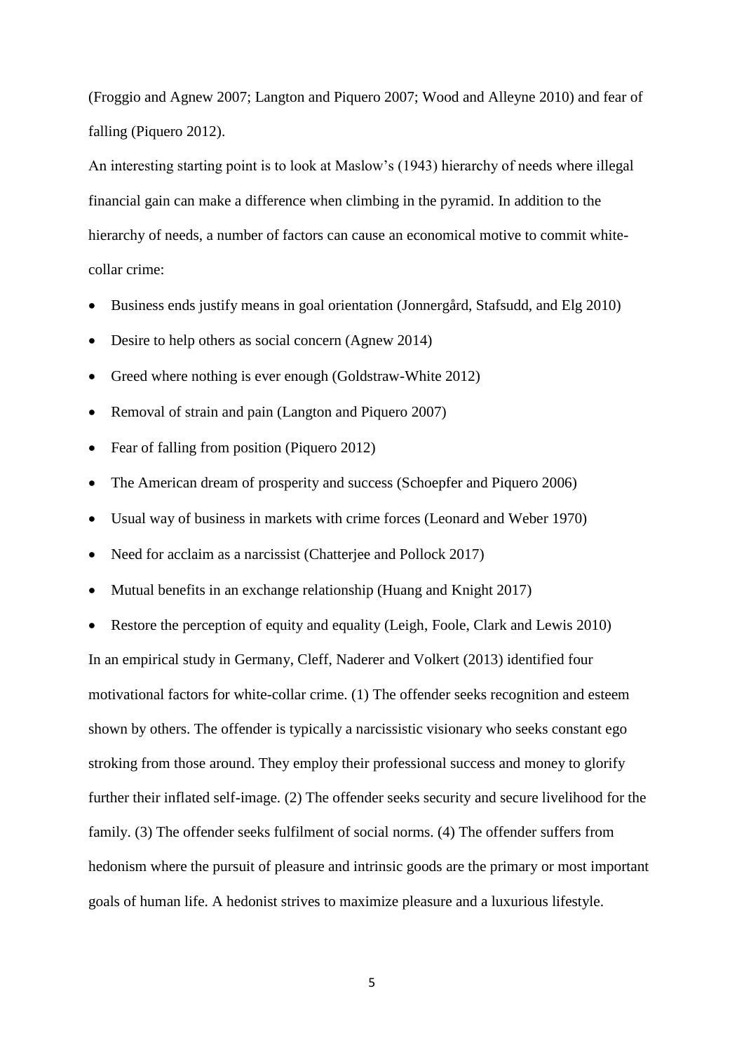(Froggio and Agnew 2007; Langton and Piquero 2007; Wood and Alleyne 2010) and fear of falling (Piquero 2012).

An interesting starting point is to look at Maslow's (1943) hierarchy of needs where illegal financial gain can make a difference when climbing in the pyramid. In addition to the hierarchy of needs, a number of factors can cause an economical motive to commit whitecollar crime:

- Business ends justify means in goal orientation (Jonnergård, Stafsudd, and Elg 2010)
- Desire to help others as social concern (Agnew 2014)
- Greed where nothing is ever enough (Goldstraw-White 2012)
- Removal of strain and pain (Langton and Piquero 2007)
- Fear of falling from position (Piquero 2012)
- The American dream of prosperity and success (Schoepfer and Piquero 2006)
- Usual way of business in markets with crime forces (Leonard and Weber 1970)
- Need for acclaim as a narcissist (Chatterjee and Pollock 2017)
- Mutual benefits in an exchange relationship (Huang and Knight 2017)

• Restore the perception of equity and equality (Leigh, Foole, Clark and Lewis 2010) In an empirical study in Germany, Cleff, Naderer and Volkert (2013) identified four motivational factors for white-collar crime. (1) The offender seeks recognition and esteem shown by others. The offender is typically a narcissistic visionary who seeks constant ego stroking from those around. They employ their professional success and money to glorify further their inflated self-image. (2) The offender seeks security and secure livelihood for the family. (3) The offender seeks fulfilment of social norms. (4) The offender suffers from hedonism where the pursuit of pleasure and intrinsic goods are the primary or most important goals of human life. A hedonist strives to maximize pleasure and a luxurious lifestyle.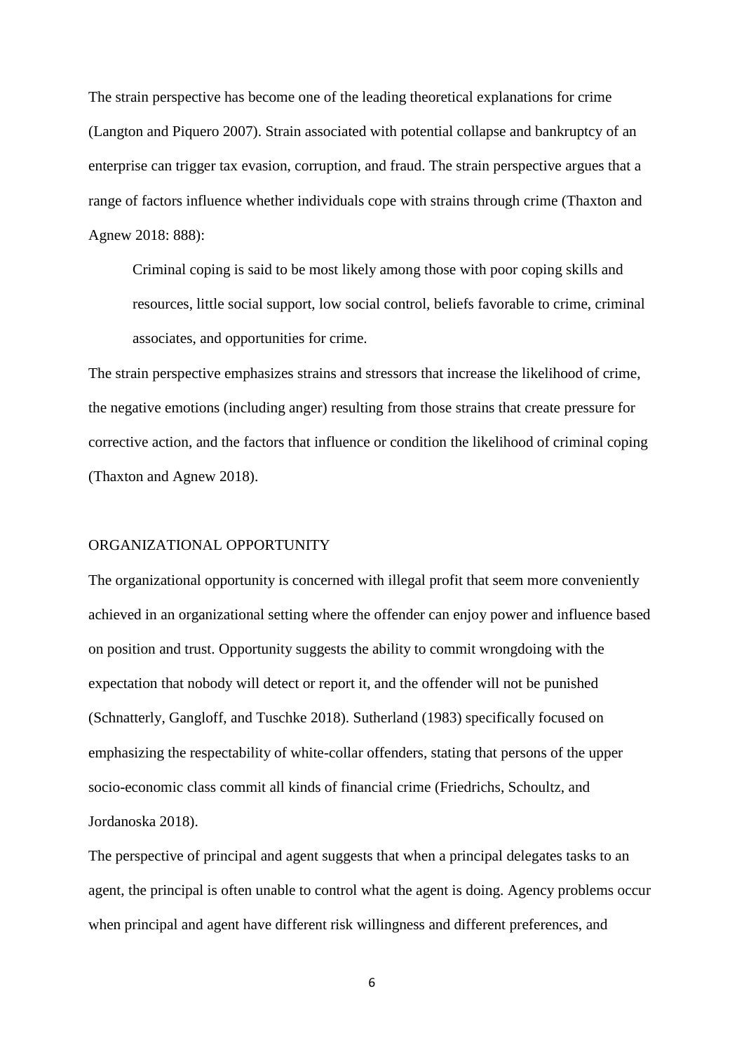The strain perspective has become one of the leading theoretical explanations for crime (Langton and Piquero 2007). Strain associated with potential collapse and bankruptcy of an enterprise can trigger tax evasion, corruption, and fraud. The strain perspective argues that a range of factors influence whether individuals cope with strains through crime (Thaxton and Agnew 2018: 888):

Criminal coping is said to be most likely among those with poor coping skills and resources, little social support, low social control, beliefs favorable to crime, criminal associates, and opportunities for crime.

The strain perspective emphasizes strains and stressors that increase the likelihood of crime, the negative emotions (including anger) resulting from those strains that create pressure for corrective action, and the factors that influence or condition the likelihood of criminal coping (Thaxton and Agnew 2018).

## ORGANIZATIONAL OPPORTUNITY

The organizational opportunity is concerned with illegal profit that seem more conveniently achieved in an organizational setting where the offender can enjoy power and influence based on position and trust. Opportunity suggests the ability to commit wrongdoing with the expectation that nobody will detect or report it, and the offender will not be punished (Schnatterly, Gangloff, and Tuschke 2018). Sutherland (1983) specifically focused on emphasizing the respectability of white-collar offenders, stating that persons of the upper socio-economic class commit all kinds of financial crime (Friedrichs, Schoultz, and Jordanoska 2018).

The perspective of principal and agent suggests that when a principal delegates tasks to an agent, the principal is often unable to control what the agent is doing. Agency problems occur when principal and agent have different risk willingness and different preferences, and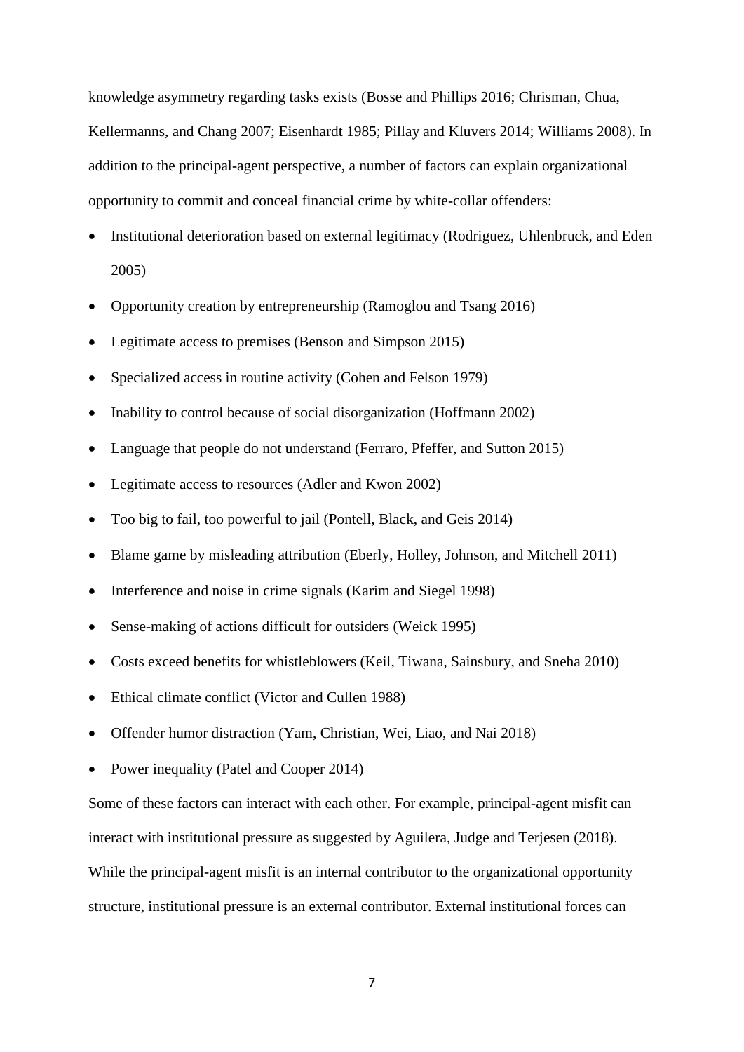knowledge asymmetry regarding tasks exists (Bosse and Phillips 2016; Chrisman, Chua, Kellermanns, and Chang 2007; Eisenhardt 1985; Pillay and Kluvers 2014; Williams 2008). In addition to the principal-agent perspective, a number of factors can explain organizational opportunity to commit and conceal financial crime by white-collar offenders:

- Institutional deterioration based on external legitimacy (Rodriguez, Uhlenbruck, and Eden 2005)
- Opportunity creation by entrepreneurship (Ramoglou and Tsang 2016)
- Legitimate access to premises (Benson and Simpson 2015)
- Specialized access in routine activity (Cohen and Felson 1979)
- Inability to control because of social disorganization (Hoffmann 2002)
- Language that people do not understand (Ferraro, Pfeffer, and Sutton 2015)
- Legitimate access to resources (Adler and Kwon 2002)
- Too big to fail, too powerful to jail (Pontell, Black, and Geis 2014)
- Blame game by misleading attribution (Eberly, Holley, Johnson, and Mitchell 2011)
- Interference and noise in crime signals (Karim and Siegel 1998)
- Sense-making of actions difficult for outsiders (Weick 1995)
- Costs exceed benefits for whistleblowers (Keil, Tiwana, Sainsbury, and Sneha 2010)
- Ethical climate conflict (Victor and Cullen 1988)
- Offender humor distraction (Yam, Christian, Wei, Liao, and Nai 2018)
- Power inequality (Patel and Cooper 2014)

Some of these factors can interact with each other. For example, principal-agent misfit can interact with institutional pressure as suggested by Aguilera, Judge and Terjesen (2018). While the principal-agent misfit is an internal contributor to the organizational opportunity structure, institutional pressure is an external contributor. External institutional forces can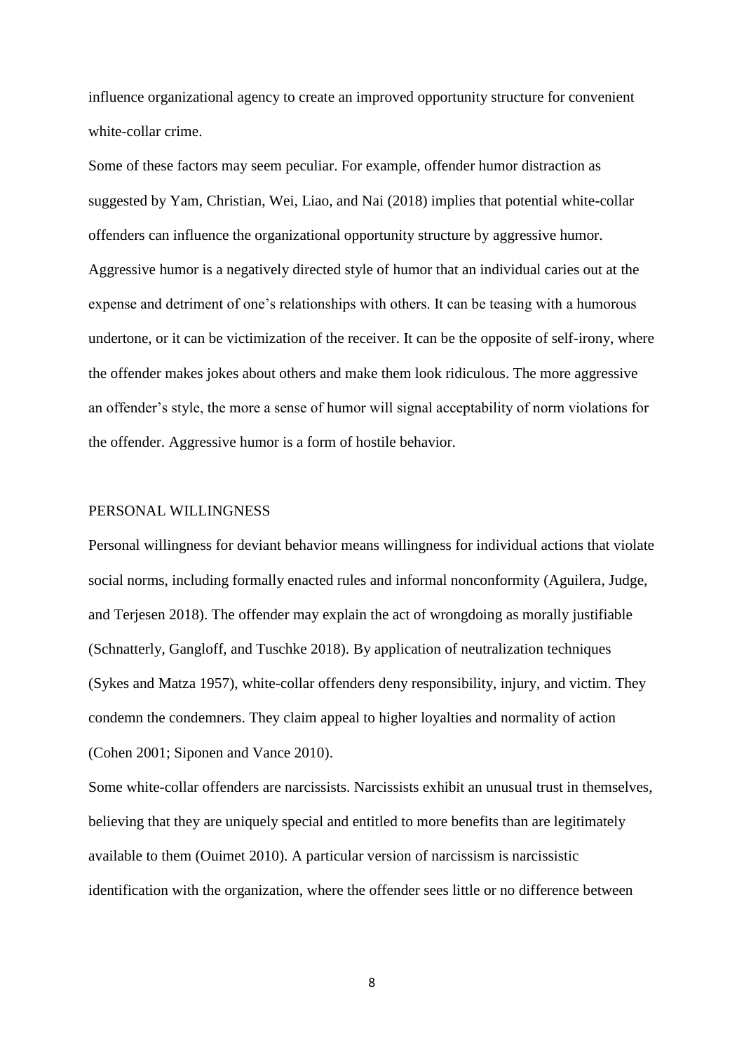influence organizational agency to create an improved opportunity structure for convenient white-collar crime.

Some of these factors may seem peculiar. For example, offender humor distraction as suggested by Yam, Christian, Wei, Liao, and Nai (2018) implies that potential white-collar offenders can influence the organizational opportunity structure by aggressive humor. Aggressive humor is a negatively directed style of humor that an individual caries out at the expense and detriment of one's relationships with others. It can be teasing with a humorous undertone, or it can be victimization of the receiver. It can be the opposite of self-irony, where the offender makes jokes about others and make them look ridiculous. The more aggressive an offender's style, the more a sense of humor will signal acceptability of norm violations for the offender. Aggressive humor is a form of hostile behavior.

### PERSONAL WILLINGNESS

Personal willingness for deviant behavior means willingness for individual actions that violate social norms, including formally enacted rules and informal nonconformity (Aguilera, Judge, and Terjesen 2018). The offender may explain the act of wrongdoing as morally justifiable (Schnatterly, Gangloff, and Tuschke 2018). By application of neutralization techniques (Sykes and Matza 1957), white-collar offenders deny responsibility, injury, and victim. They condemn the condemners. They claim appeal to higher loyalties and normality of action (Cohen 2001; Siponen and Vance 2010).

Some white-collar offenders are narcissists. Narcissists exhibit an unusual trust in themselves, believing that they are uniquely special and entitled to more benefits than are legitimately available to them (Ouimet 2010). A particular version of narcissism is narcissistic identification with the organization, where the offender sees little or no difference between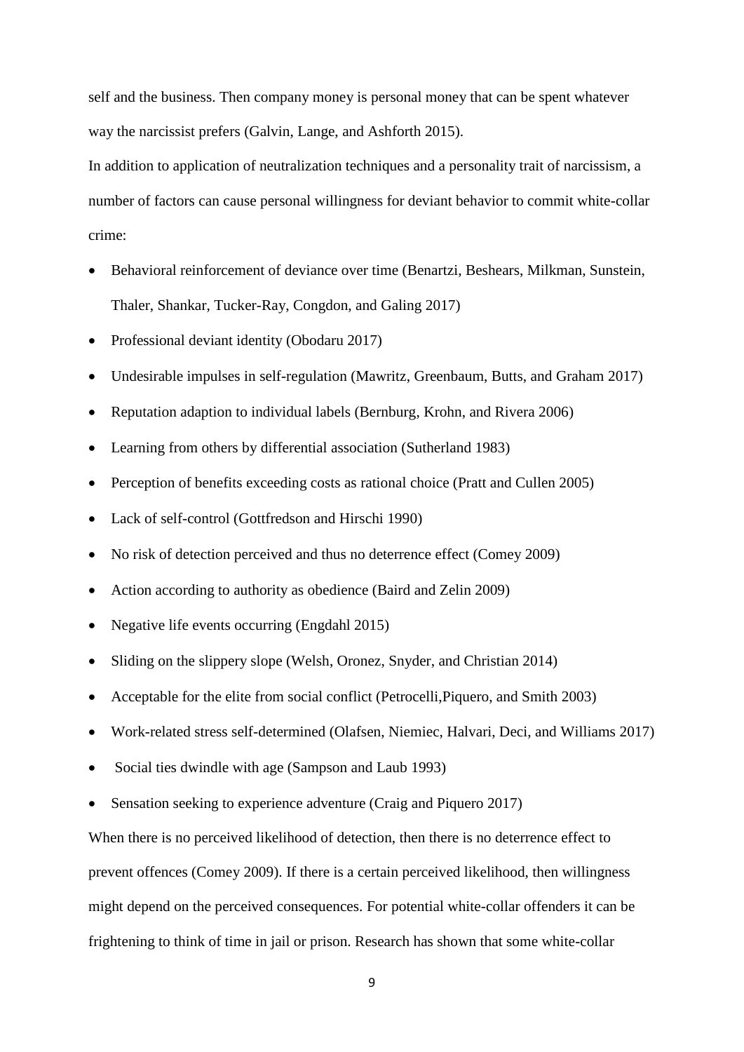self and the business. Then company money is personal money that can be spent whatever way the narcissist prefers (Galvin, Lange, and Ashforth 2015).

In addition to application of neutralization techniques and a personality trait of narcissism, a number of factors can cause personal willingness for deviant behavior to commit white-collar crime:

- Behavioral reinforcement of deviance over time (Benartzi, Beshears, Milkman, Sunstein, Thaler, Shankar, Tucker-Ray, Congdon, and Galing 2017)
- Professional deviant identity (Obodaru 2017)
- Undesirable impulses in self-regulation (Mawritz, Greenbaum, Butts, and Graham 2017)
- Reputation adaption to individual labels (Bernburg, Krohn, and Rivera 2006)
- Learning from others by differential association (Sutherland 1983)
- Perception of benefits exceeding costs as rational choice (Pratt and Cullen 2005)
- Lack of self-control (Gottfredson and Hirschi 1990)
- No risk of detection perceived and thus no deterrence effect (Comey 2009)
- Action according to authority as obedience (Baird and Zelin 2009)
- Negative life events occurring (Engdahl 2015)
- Sliding on the slippery slope (Welsh, Oronez, Snyder, and Christian 2014)
- Acceptable for the elite from social conflict (Petrocelli,Piquero, and Smith 2003)
- Work-related stress self-determined (Olafsen, Niemiec, Halvari, Deci, and Williams 2017)
- Social ties dwindle with age (Sampson and Laub 1993)
- Sensation seeking to experience adventure (Craig and Piquero 2017)

When there is no perceived likelihood of detection, then there is no deterrence effect to prevent offences (Comey 2009). If there is a certain perceived likelihood, then willingness might depend on the perceived consequences. For potential white-collar offenders it can be frightening to think of time in jail or prison. Research has shown that some white-collar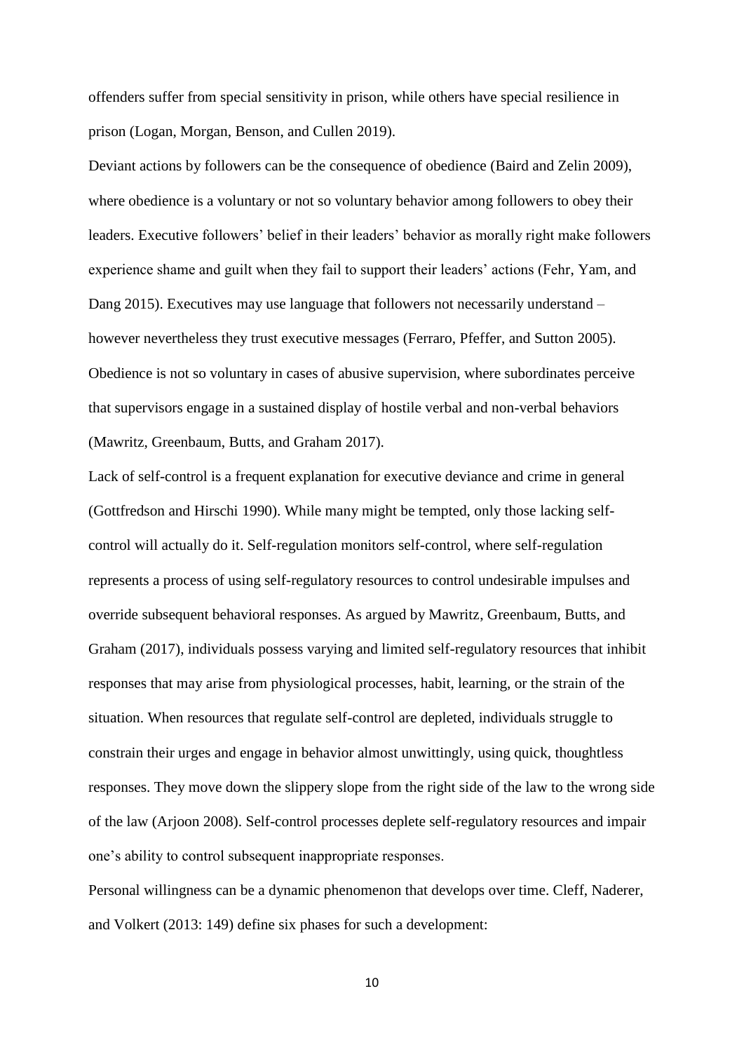offenders suffer from special sensitivity in prison, while others have special resilience in prison (Logan, Morgan, Benson, and Cullen 2019).

Deviant actions by followers can be the consequence of obedience (Baird and Zelin 2009), where obedience is a voluntary or not so voluntary behavior among followers to obey their leaders. Executive followers' belief in their leaders' behavior as morally right make followers experience shame and guilt when they fail to support their leaders' actions (Fehr, Yam, and Dang 2015). Executives may use language that followers not necessarily understand – however nevertheless they trust executive messages (Ferraro, Pfeffer, and Sutton 2005). Obedience is not so voluntary in cases of abusive supervision, where subordinates perceive that supervisors engage in a sustained display of hostile verbal and non-verbal behaviors (Mawritz, Greenbaum, Butts, and Graham 2017).

Lack of self-control is a frequent explanation for executive deviance and crime in general (Gottfredson and Hirschi 1990). While many might be tempted, only those lacking selfcontrol will actually do it. Self-regulation monitors self-control, where self-regulation represents a process of using self-regulatory resources to control undesirable impulses and override subsequent behavioral responses. As argued by Mawritz, Greenbaum, Butts, and Graham (2017), individuals possess varying and limited self-regulatory resources that inhibit responses that may arise from physiological processes, habit, learning, or the strain of the situation. When resources that regulate self-control are depleted, individuals struggle to constrain their urges and engage in behavior almost unwittingly, using quick, thoughtless responses. They move down the slippery slope from the right side of the law to the wrong side of the law (Arjoon 2008). Self-control processes deplete self-regulatory resources and impair one's ability to control subsequent inappropriate responses.

Personal willingness can be a dynamic phenomenon that develops over time. Cleff, Naderer, and Volkert (2013: 149) define six phases for such a development: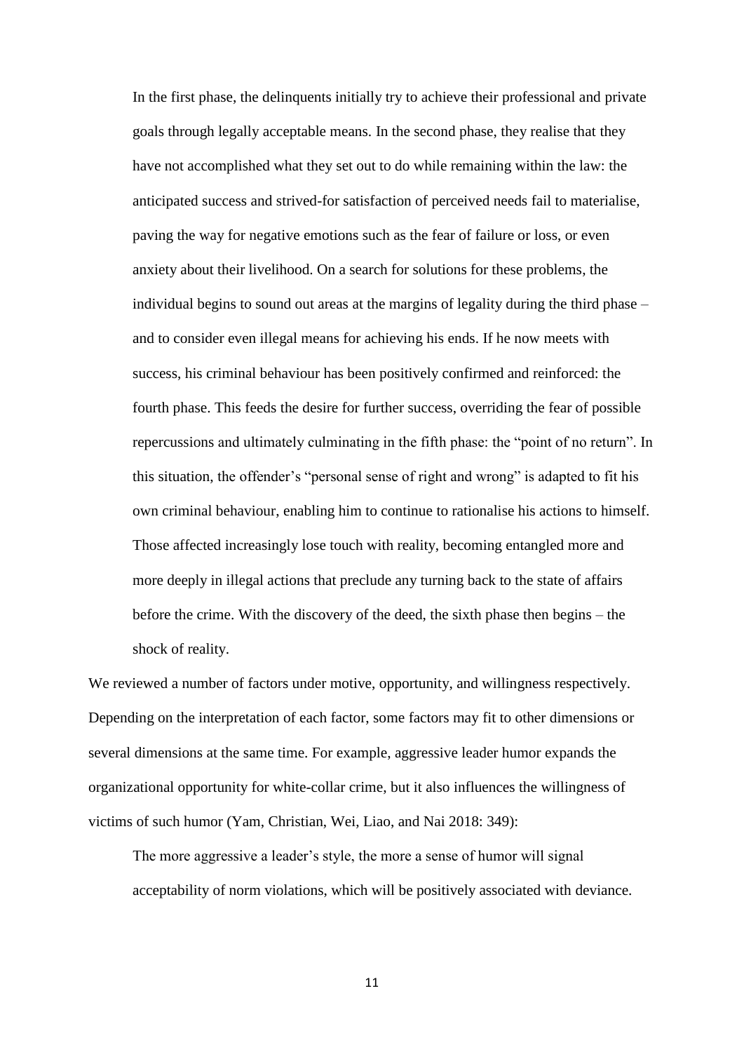In the first phase, the delinquents initially try to achieve their professional and private goals through legally acceptable means. In the second phase, they realise that they have not accomplished what they set out to do while remaining within the law: the anticipated success and strived-for satisfaction of perceived needs fail to materialise, paving the way for negative emotions such as the fear of failure or loss, or even anxiety about their livelihood. On a search for solutions for these problems, the individual begins to sound out areas at the margins of legality during the third phase – and to consider even illegal means for achieving his ends. If he now meets with success, his criminal behaviour has been positively confirmed and reinforced: the fourth phase. This feeds the desire for further success, overriding the fear of possible repercussions and ultimately culminating in the fifth phase: the "point of no return". In this situation, the offender's "personal sense of right and wrong" is adapted to fit his own criminal behaviour, enabling him to continue to rationalise his actions to himself. Those affected increasingly lose touch with reality, becoming entangled more and more deeply in illegal actions that preclude any turning back to the state of affairs before the crime. With the discovery of the deed, the sixth phase then begins – the shock of reality.

We reviewed a number of factors under motive, opportunity, and willingness respectively. Depending on the interpretation of each factor, some factors may fit to other dimensions or several dimensions at the same time. For example, aggressive leader humor expands the organizational opportunity for white-collar crime, but it also influences the willingness of victims of such humor (Yam, Christian, Wei, Liao, and Nai 2018: 349):

The more aggressive a leader's style, the more a sense of humor will signal acceptability of norm violations, which will be positively associated with deviance.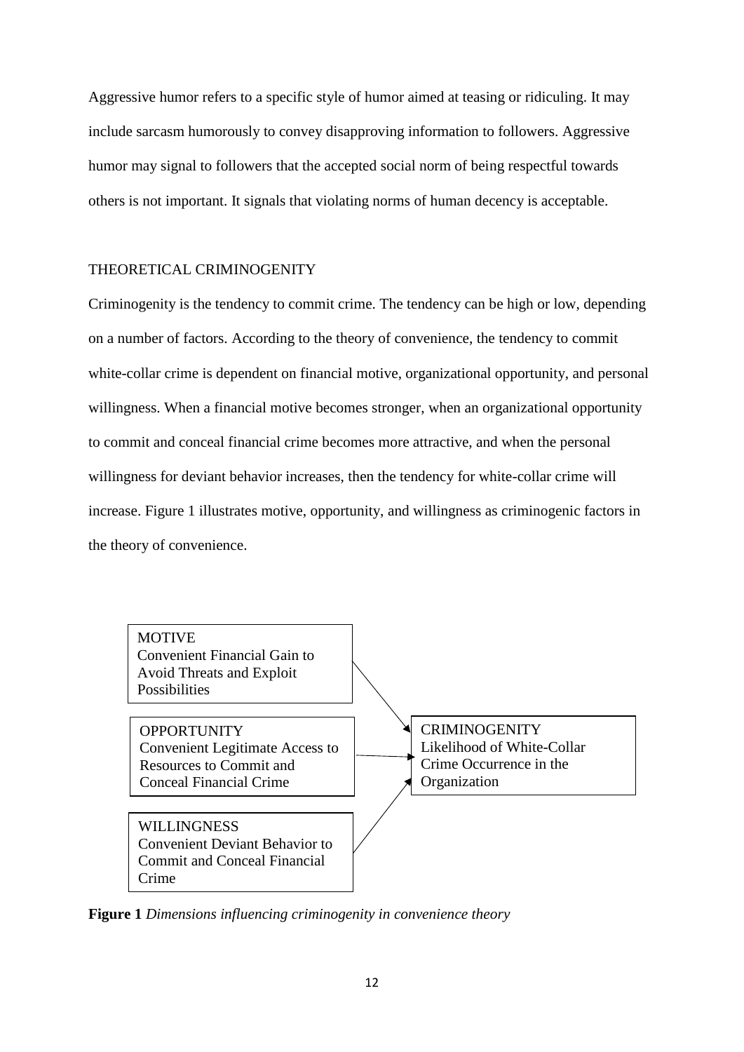Aggressive humor refers to a specific style of humor aimed at teasing or ridiculing. It may include sarcasm humorously to convey disapproving information to followers. Aggressive humor may signal to followers that the accepted social norm of being respectful towards others is not important. It signals that violating norms of human decency is acceptable.

# THEORETICAL CRIMINOGENITY

Criminogenity is the tendency to commit crime. The tendency can be high or low, depending on a number of factors. According to the theory of convenience, the tendency to commit white-collar crime is dependent on financial motive, organizational opportunity, and personal willingness. When a financial motive becomes stronger, when an organizational opportunity to commit and conceal financial crime becomes more attractive, and when the personal willingness for deviant behavior increases, then the tendency for white-collar crime will increase. Figure 1 illustrates motive, opportunity, and willingness as criminogenic factors in the theory of convenience.



**Figure 1** *Dimensions influencing criminogenity in convenience theory*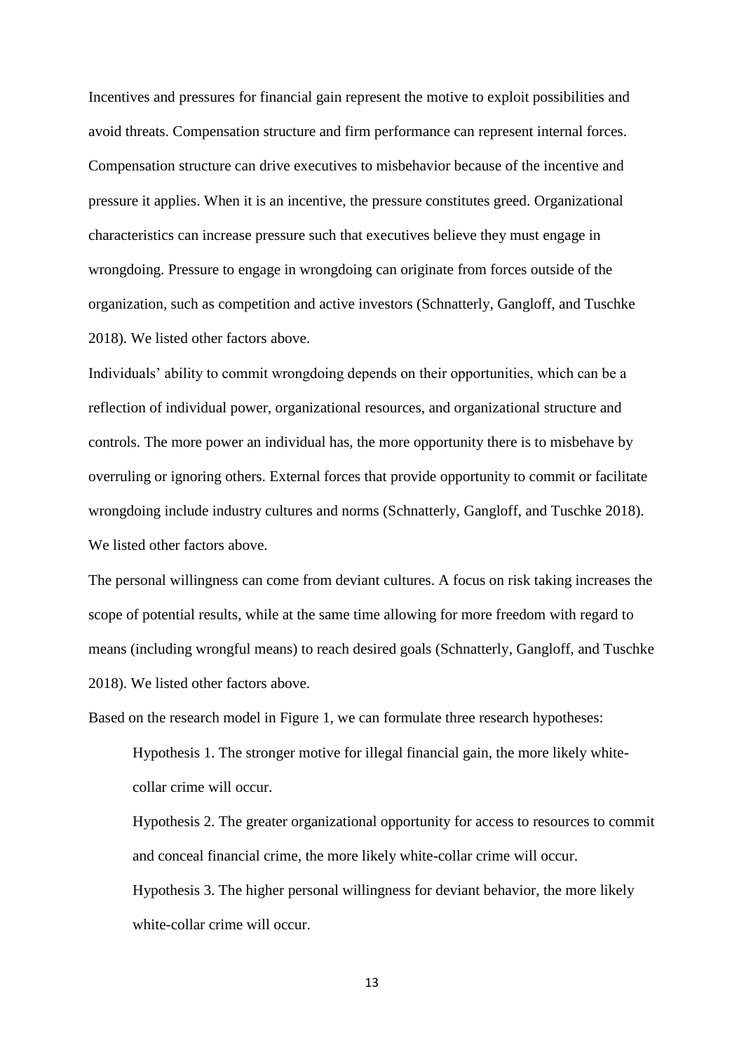Incentives and pressures for financial gain represent the motive to exploit possibilities and avoid threats. Compensation structure and firm performance can represent internal forces. Compensation structure can drive executives to misbehavior because of the incentive and pressure it applies. When it is an incentive, the pressure constitutes greed. Organizational characteristics can increase pressure such that executives believe they must engage in wrongdoing. Pressure to engage in wrongdoing can originate from forces outside of the organization, such as competition and active investors (Schnatterly, Gangloff, and Tuschke 2018). We listed other factors above.

Individuals' ability to commit wrongdoing depends on their opportunities, which can be a reflection of individual power, organizational resources, and organizational structure and controls. The more power an individual has, the more opportunity there is to misbehave by overruling or ignoring others. External forces that provide opportunity to commit or facilitate wrongdoing include industry cultures and norms (Schnatterly, Gangloff, and Tuschke 2018). We listed other factors above.

The personal willingness can come from deviant cultures. A focus on risk taking increases the scope of potential results, while at the same time allowing for more freedom with regard to means (including wrongful means) to reach desired goals (Schnatterly, Gangloff, and Tuschke 2018). We listed other factors above.

Based on the research model in Figure 1, we can formulate three research hypotheses:

Hypothesis 1. The stronger motive for illegal financial gain, the more likely whitecollar crime will occur.

Hypothesis 2. The greater organizational opportunity for access to resources to commit and conceal financial crime, the more likely white-collar crime will occur.

Hypothesis 3. The higher personal willingness for deviant behavior, the more likely white-collar crime will occur.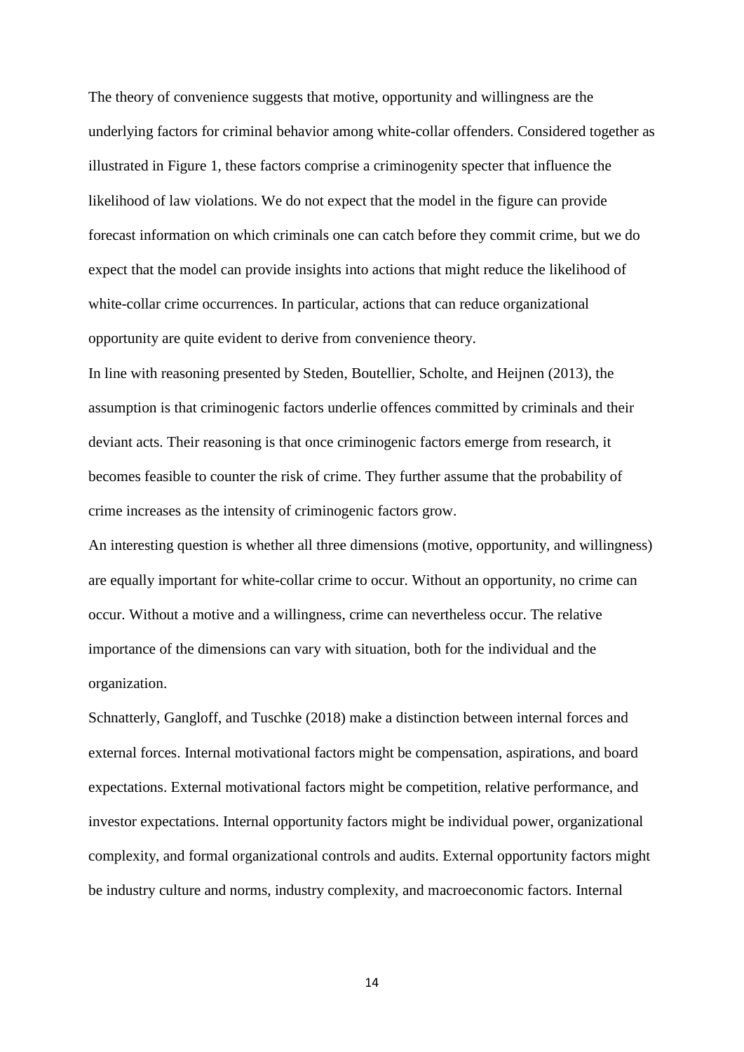The theory of convenience suggests that motive, opportunity and willingness are the underlying factors for criminal behavior among white-collar offenders. Considered together as illustrated in Figure 1, these factors comprise a criminogenity specter that influence the likelihood of law violations. We do not expect that the model in the figure can provide forecast information on which criminals one can catch before they commit crime, but we do expect that the model can provide insights into actions that might reduce the likelihood of white-collar crime occurrences. In particular, actions that can reduce organizational opportunity are quite evident to derive from convenience theory.

In line with reasoning presented by Steden, Boutellier, Scholte, and Heijnen (2013), the assumption is that criminogenic factors underlie offences committed by criminals and their deviant acts. Their reasoning is that once criminogenic factors emerge from research, it becomes feasible to counter the risk of crime. They further assume that the probability of crime increases as the intensity of criminogenic factors grow.

An interesting question is whether all three dimensions (motive, opportunity, and willingness) are equally important for white-collar crime to occur. Without an opportunity, no crime can occur. Without a motive and a willingness, crime can nevertheless occur. The relative importance of the dimensions can vary with situation, both for the individual and the organization.

Schnatterly, Gangloff, and Tuschke (2018) make a distinction between internal forces and external forces. Internal motivational factors might be compensation, aspirations, and board expectations. External motivational factors might be competition, relative performance, and investor expectations. Internal opportunity factors might be individual power, organizational complexity, and formal organizational controls and audits. External opportunity factors might be industry culture and norms, industry complexity, and macroeconomic factors. Internal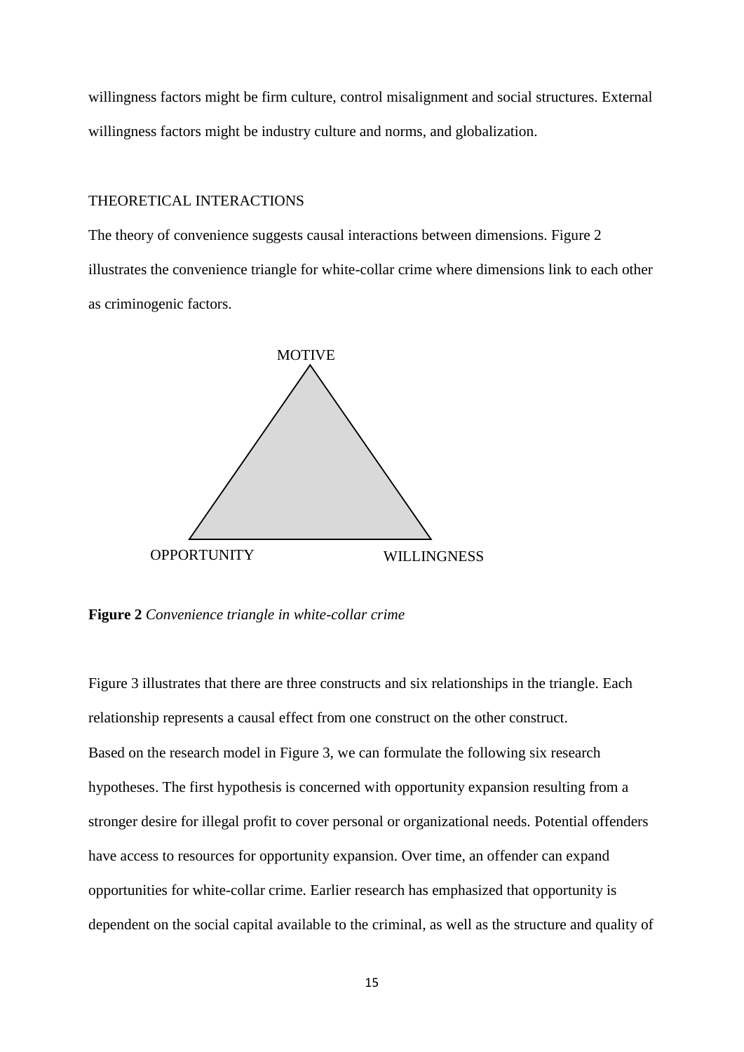willingness factors might be firm culture, control misalignment and social structures. External willingness factors might be industry culture and norms, and globalization.

# THEORETICAL INTERACTIONS

The theory of convenience suggests causal interactions between dimensions. Figure 2 illustrates the convenience triangle for white-collar crime where dimensions link to each other as criminogenic factors.



**Figure 2** *Convenience triangle in white-collar crime*

Figure 3 illustrates that there are three constructs and six relationships in the triangle. Each relationship represents a causal effect from one construct on the other construct. Based on the research model in Figure 3, we can formulate the following six research hypotheses. The first hypothesis is concerned with opportunity expansion resulting from a stronger desire for illegal profit to cover personal or organizational needs. Potential offenders have access to resources for opportunity expansion. Over time, an offender can expand opportunities for white-collar crime. Earlier research has emphasized that opportunity is dependent on the social capital available to the criminal, as well as the structure and quality of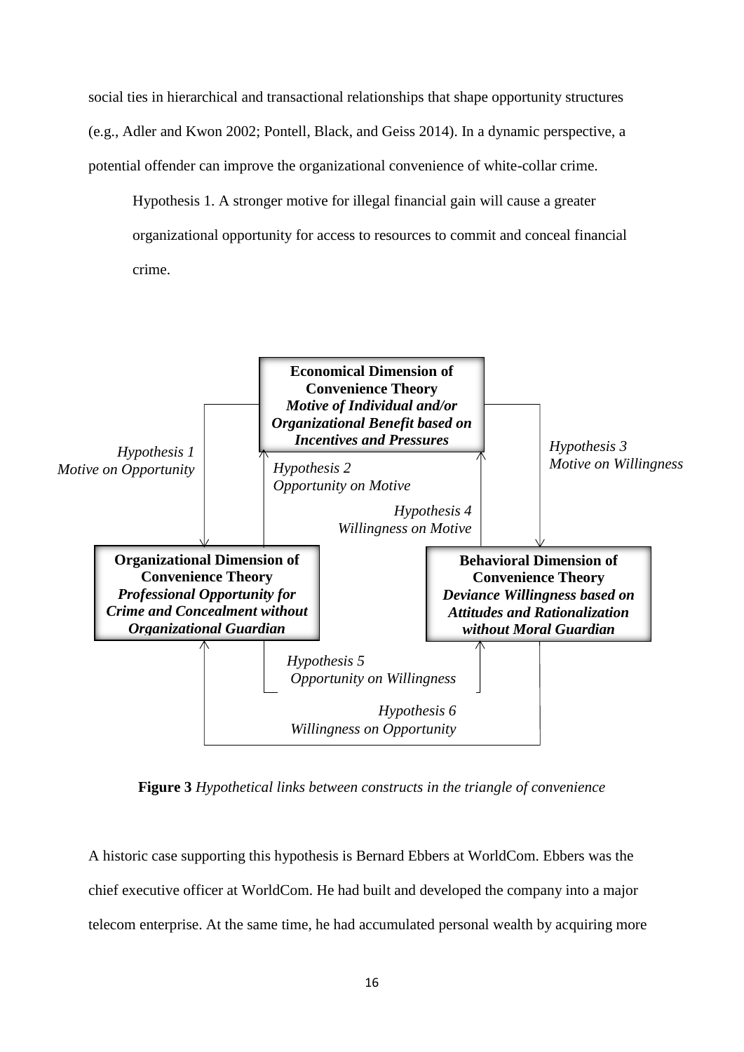social ties in hierarchical and transactional relationships that shape opportunity structures (e.g., Adler and Kwon 2002; Pontell, Black, and Geiss 2014). In a dynamic perspective, a potential offender can improve the organizational convenience of white-collar crime.

Hypothesis 1. A stronger motive for illegal financial gain will cause a greater organizational opportunity for access to resources to commit and conceal financial crime.



**Figure 3** *Hypothetical links between constructs in the triangle of convenience*

A historic case supporting this hypothesis is Bernard Ebbers at WorldCom. Ebbers was the chief executive officer at WorldCom. He had built and developed the company into a major telecom enterprise. At the same time, he had accumulated personal wealth by acquiring more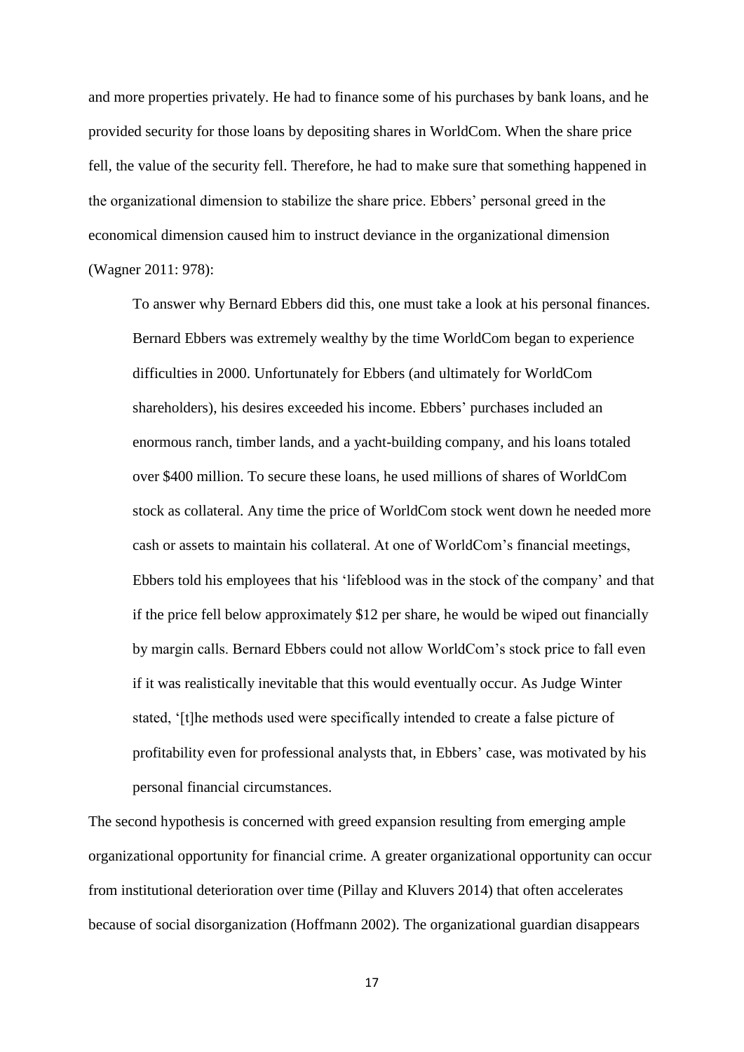and more properties privately. He had to finance some of his purchases by bank loans, and he provided security for those loans by depositing shares in WorldCom. When the share price fell, the value of the security fell. Therefore, he had to make sure that something happened in the organizational dimension to stabilize the share price. Ebbers' personal greed in the economical dimension caused him to instruct deviance in the organizational dimension (Wagner 2011: 978):

To answer why Bernard Ebbers did this, one must take a look at his personal finances. Bernard Ebbers was extremely wealthy by the time WorldCom began to experience difficulties in 2000. Unfortunately for Ebbers (and ultimately for WorldCom shareholders), his desires exceeded his income. Ebbers' purchases included an enormous ranch, timber lands, and a yacht-building company, and his loans totaled over \$400 million. To secure these loans, he used millions of shares of WorldCom stock as collateral. Any time the price of WorldCom stock went down he needed more cash or assets to maintain his collateral. At one of WorldCom's financial meetings, Ebbers told his employees that his 'lifeblood was in the stock of the company' and that if the price fell below approximately \$12 per share, he would be wiped out financially by margin calls. Bernard Ebbers could not allow WorldCom's stock price to fall even if it was realistically inevitable that this would eventually occur. As Judge Winter stated, '[t]he methods used were specifically intended to create a false picture of profitability even for professional analysts that, in Ebbers' case, was motivated by his personal financial circumstances.

The second hypothesis is concerned with greed expansion resulting from emerging ample organizational opportunity for financial crime. A greater organizational opportunity can occur from institutional deterioration over time (Pillay and Kluvers 2014) that often accelerates because of social disorganization (Hoffmann 2002). The organizational guardian disappears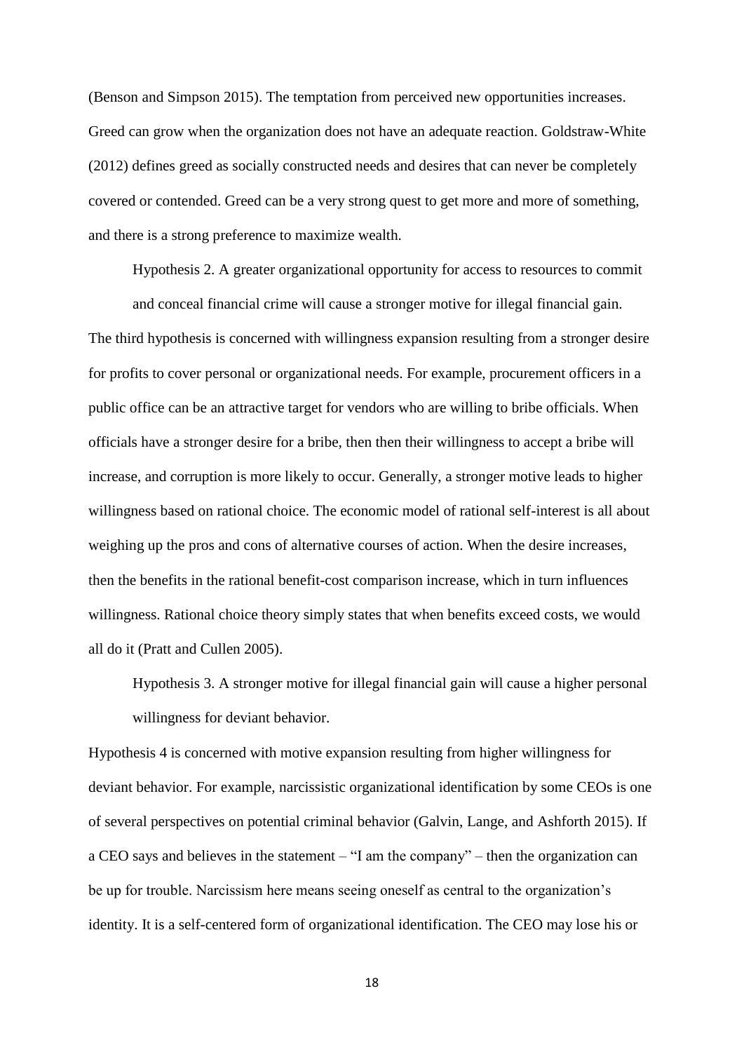(Benson and Simpson 2015). The temptation from perceived new opportunities increases. Greed can grow when the organization does not have an adequate reaction. Goldstraw-White (2012) defines greed as socially constructed needs and desires that can never be completely covered or contended. Greed can be a very strong quest to get more and more of something, and there is a strong preference to maximize wealth.

Hypothesis 2. A greater organizational opportunity for access to resources to commit

and conceal financial crime will cause a stronger motive for illegal financial gain. The third hypothesis is concerned with willingness expansion resulting from a stronger desire for profits to cover personal or organizational needs. For example, procurement officers in a public office can be an attractive target for vendors who are willing to bribe officials. When officials have a stronger desire for a bribe, then then their willingness to accept a bribe will increase, and corruption is more likely to occur. Generally, a stronger motive leads to higher willingness based on rational choice. The economic model of rational self-interest is all about weighing up the pros and cons of alternative courses of action. When the desire increases, then the benefits in the rational benefit-cost comparison increase, which in turn influences willingness. Rational choice theory simply states that when benefits exceed costs, we would all do it (Pratt and Cullen 2005).

Hypothesis 3. A stronger motive for illegal financial gain will cause a higher personal willingness for deviant behavior.

Hypothesis 4 is concerned with motive expansion resulting from higher willingness for deviant behavior. For example, narcissistic organizational identification by some CEOs is one of several perspectives on potential criminal behavior (Galvin, Lange, and Ashforth 2015). If a CEO says and believes in the statement – "I am the company" – then the organization can be up for trouble. Narcissism here means seeing oneself as central to the organization's identity. It is a self-centered form of organizational identification. The CEO may lose his or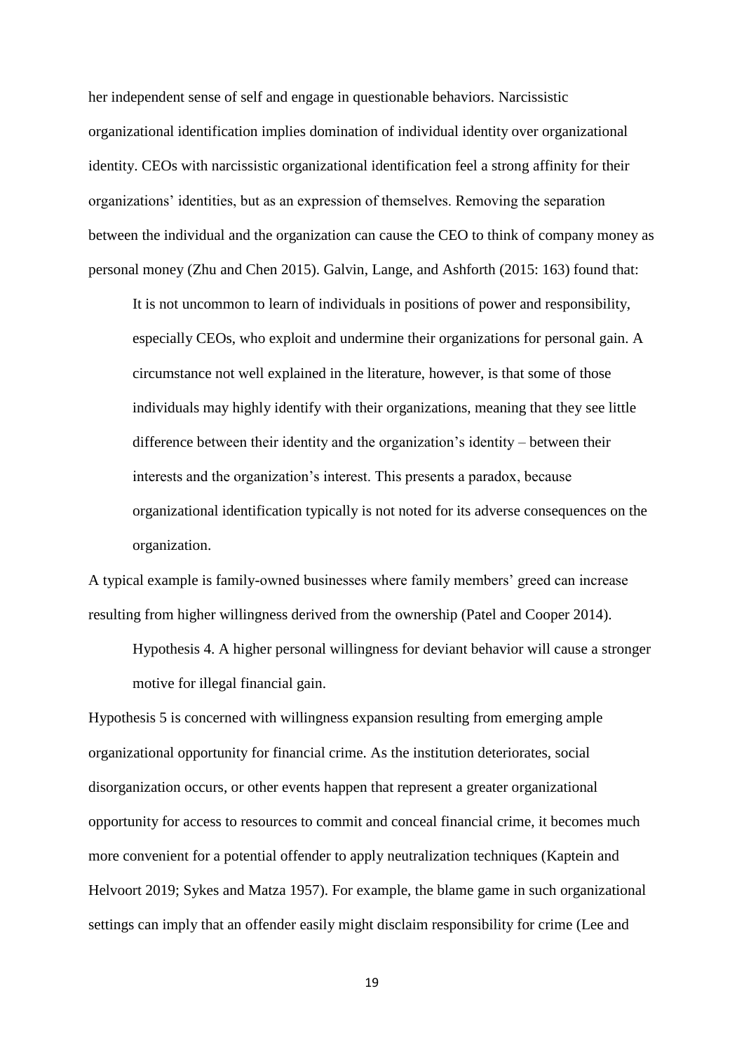her independent sense of self and engage in questionable behaviors. Narcissistic organizational identification implies domination of individual identity over organizational identity. CEOs with narcissistic organizational identification feel a strong affinity for their organizations' identities, but as an expression of themselves. Removing the separation between the individual and the organization can cause the CEO to think of company money as personal money (Zhu and Chen 2015). Galvin, Lange, and Ashforth (2015: 163) found that:

It is not uncommon to learn of individuals in positions of power and responsibility, especially CEOs, who exploit and undermine their organizations for personal gain. A circumstance not well explained in the literature, however, is that some of those individuals may highly identify with their organizations, meaning that they see little difference between their identity and the organization's identity – between their interests and the organization's interest. This presents a paradox, because organizational identification typically is not noted for its adverse consequences on the organization.

A typical example is family-owned businesses where family members' greed can increase resulting from higher willingness derived from the ownership (Patel and Cooper 2014).

Hypothesis 4. A higher personal willingness for deviant behavior will cause a stronger motive for illegal financial gain.

Hypothesis 5 is concerned with willingness expansion resulting from emerging ample organizational opportunity for financial crime. As the institution deteriorates, social disorganization occurs, or other events happen that represent a greater organizational opportunity for access to resources to commit and conceal financial crime, it becomes much more convenient for a potential offender to apply neutralization techniques (Kaptein and Helvoort 2019; Sykes and Matza 1957). For example, the blame game in such organizational settings can imply that an offender easily might disclaim responsibility for crime (Lee and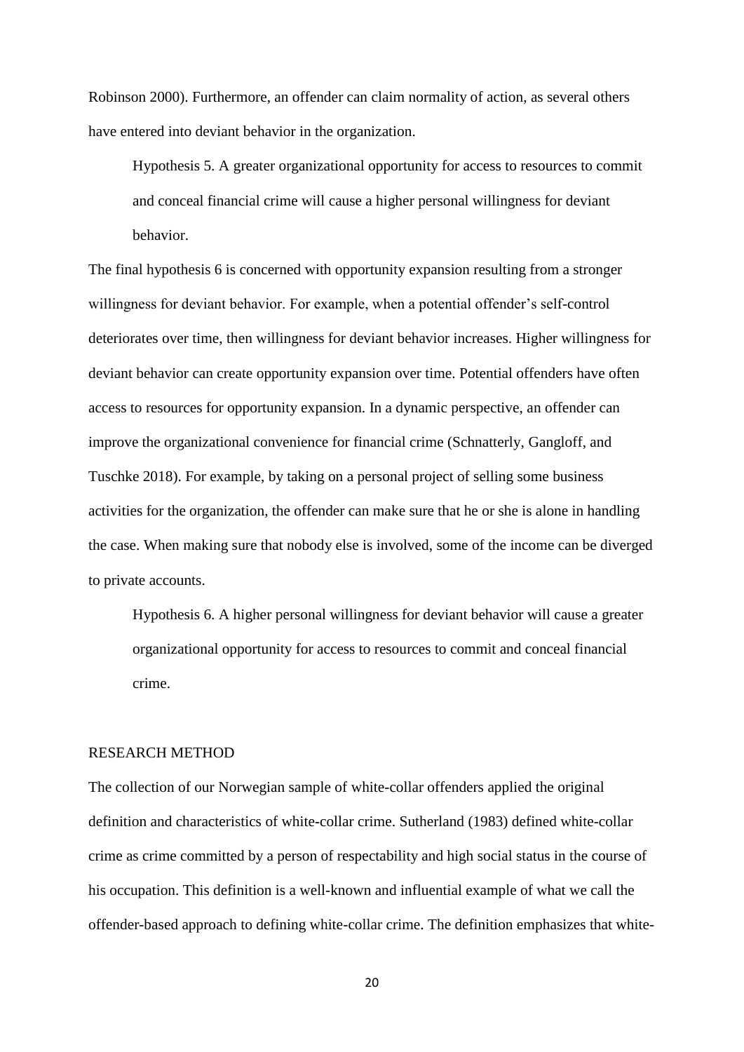Robinson 2000). Furthermore, an offender can claim normality of action, as several others have entered into deviant behavior in the organization.

Hypothesis 5. A greater organizational opportunity for access to resources to commit and conceal financial crime will cause a higher personal willingness for deviant behavior.

The final hypothesis 6 is concerned with opportunity expansion resulting from a stronger willingness for deviant behavior. For example, when a potential offender's self-control deteriorates over time, then willingness for deviant behavior increases. Higher willingness for deviant behavior can create opportunity expansion over time. Potential offenders have often access to resources for opportunity expansion. In a dynamic perspective, an offender can improve the organizational convenience for financial crime (Schnatterly, Gangloff, and Tuschke 2018). For example, by taking on a personal project of selling some business activities for the organization, the offender can make sure that he or she is alone in handling the case. When making sure that nobody else is involved, some of the income can be diverged to private accounts.

Hypothesis 6. A higher personal willingness for deviant behavior will cause a greater organizational opportunity for access to resources to commit and conceal financial crime.

## RESEARCH METHOD

The collection of our Norwegian sample of white-collar offenders applied the original definition and characteristics of white-collar crime. Sutherland (1983) defined white-collar crime as crime committed by a person of respectability and high social status in the course of his occupation. This definition is a well-known and influential example of what we call the offender-based approach to defining white-collar crime. The definition emphasizes that white-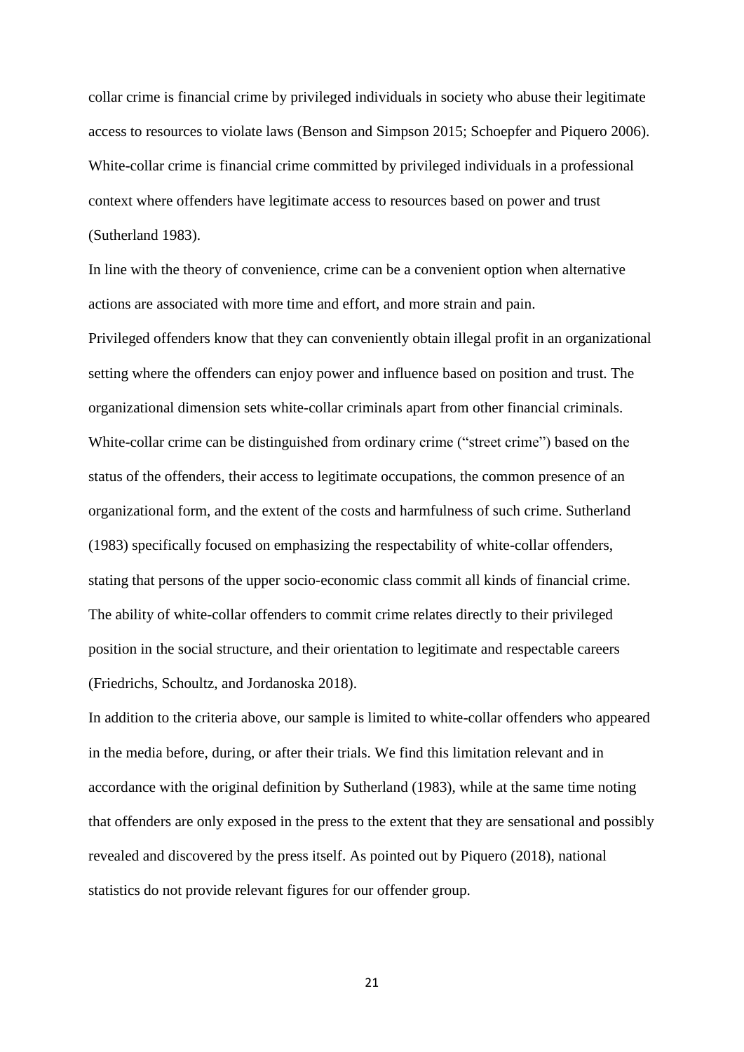collar crime is financial crime by privileged individuals in society who abuse their legitimate access to resources to violate laws (Benson and Simpson 2015; Schoepfer and Piquero 2006). White-collar crime is financial crime committed by privileged individuals in a professional context where offenders have legitimate access to resources based on power and trust (Sutherland 1983).

In line with the theory of convenience, crime can be a convenient option when alternative actions are associated with more time and effort, and more strain and pain.

Privileged offenders know that they can conveniently obtain illegal profit in an organizational setting where the offenders can enjoy power and influence based on position and trust. The organizational dimension sets white-collar criminals apart from other financial criminals. White-collar crime can be distinguished from ordinary crime ("street crime") based on the status of the offenders, their access to legitimate occupations, the common presence of an organizational form, and the extent of the costs and harmfulness of such crime. Sutherland (1983) specifically focused on emphasizing the respectability of white-collar offenders, stating that persons of the upper socio-economic class commit all kinds of financial crime. The ability of white-collar offenders to commit crime relates directly to their privileged position in the social structure, and their orientation to legitimate and respectable careers (Friedrichs, Schoultz, and Jordanoska 2018).

In addition to the criteria above, our sample is limited to white-collar offenders who appeared in the media before, during, or after their trials. We find this limitation relevant and in accordance with the original definition by Sutherland (1983), while at the same time noting that offenders are only exposed in the press to the extent that they are sensational and possibly revealed and discovered by the press itself. As pointed out by Piquero (2018), national statistics do not provide relevant figures for our offender group.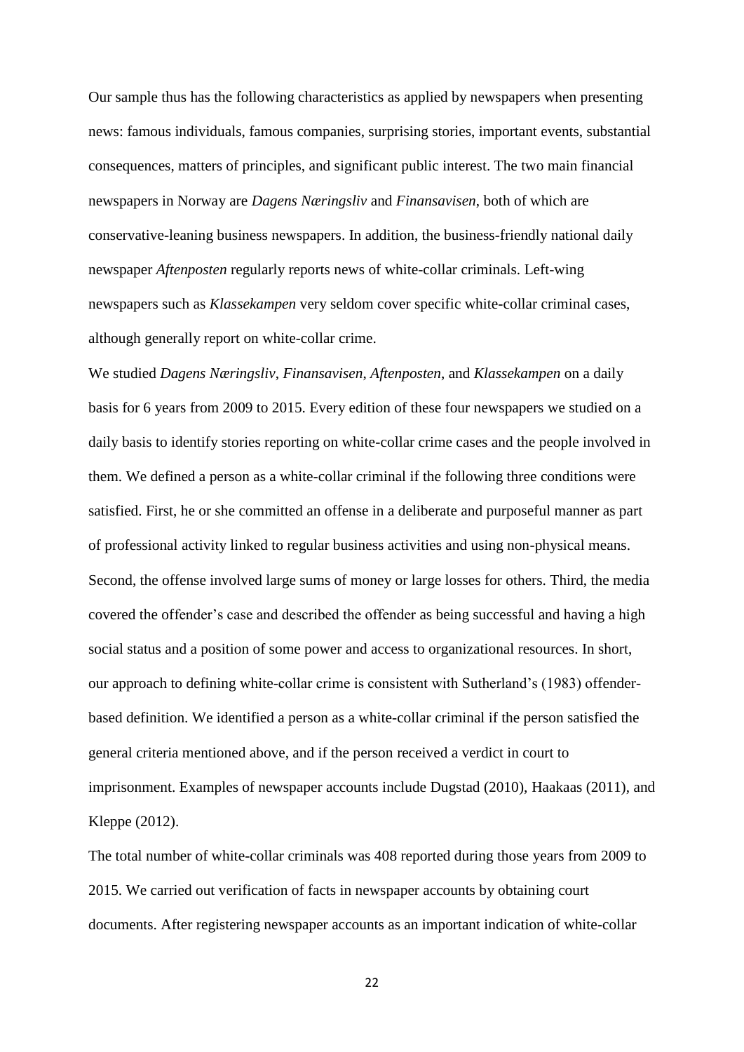Our sample thus has the following characteristics as applied by newspapers when presenting news: famous individuals, famous companies, surprising stories, important events, substantial consequences, matters of principles, and significant public interest. The two main financial newspapers in Norway are *Dagens Næringsliv* and *Finansavisen*, both of which are conservative-leaning business newspapers. In addition, the business-friendly national daily newspaper *Aftenposten* regularly reports news of white-collar criminals. Left-wing newspapers such as *Klassekampen* very seldom cover specific white-collar criminal cases, although generally report on white-collar crime.

We studied *Dagens Næringsliv*, *Finansavisen*, *Aftenposten*, and *Klassekampen* on a daily basis for 6 years from 2009 to 2015. Every edition of these four newspapers we studied on a daily basis to identify stories reporting on white-collar crime cases and the people involved in them. We defined a person as a white-collar criminal if the following three conditions were satisfied. First, he or she committed an offense in a deliberate and purposeful manner as part of professional activity linked to regular business activities and using non-physical means. Second, the offense involved large sums of money or large losses for others. Third, the media covered the offender's case and described the offender as being successful and having a high social status and a position of some power and access to organizational resources. In short, our approach to defining white-collar crime is consistent with Sutherland's (1983) offenderbased definition. We identified a person as a white-collar criminal if the person satisfied the general criteria mentioned above, and if the person received a verdict in court to imprisonment. Examples of newspaper accounts include Dugstad (2010), Haakaas (2011), and Kleppe (2012).

The total number of white-collar criminals was 408 reported during those years from 2009 to 2015. We carried out verification of facts in newspaper accounts by obtaining court documents. After registering newspaper accounts as an important indication of white-collar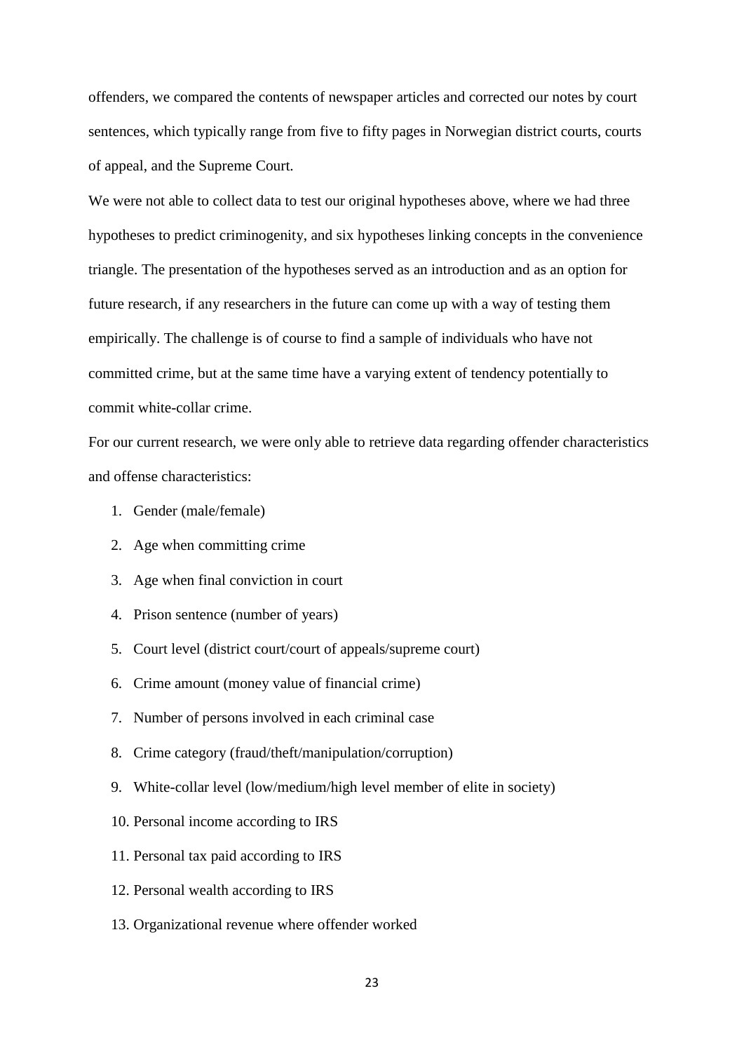offenders, we compared the contents of newspaper articles and corrected our notes by court sentences, which typically range from five to fifty pages in Norwegian district courts, courts of appeal, and the Supreme Court.

We were not able to collect data to test our original hypotheses above, where we had three hypotheses to predict criminogenity, and six hypotheses linking concepts in the convenience triangle. The presentation of the hypotheses served as an introduction and as an option for future research, if any researchers in the future can come up with a way of testing them empirically. The challenge is of course to find a sample of individuals who have not committed crime, but at the same time have a varying extent of tendency potentially to commit white-collar crime.

For our current research, we were only able to retrieve data regarding offender characteristics and offense characteristics:

- 1. Gender (male/female)
- 2. Age when committing crime
- 3. Age when final conviction in court
- 4. Prison sentence (number of years)
- 5. Court level (district court/court of appeals/supreme court)
- 6. Crime amount (money value of financial crime)
- 7. Number of persons involved in each criminal case
- 8. Crime category (fraud/theft/manipulation/corruption)
- 9. White-collar level (low/medium/high level member of elite in society)
- 10. Personal income according to IRS
- 11. Personal tax paid according to IRS
- 12. Personal wealth according to IRS
- 13. Organizational revenue where offender worked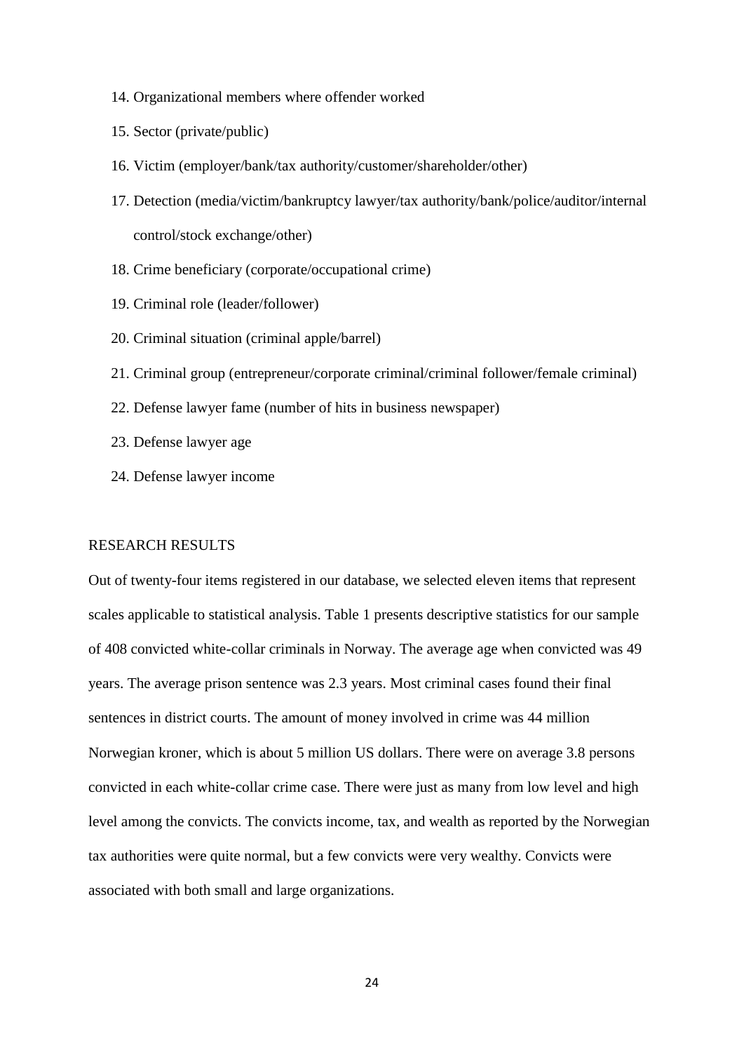- 14. Organizational members where offender worked
- 15. Sector (private/public)
- 16. Victim (employer/bank/tax authority/customer/shareholder/other)
- 17. Detection (media/victim/bankruptcy lawyer/tax authority/bank/police/auditor/internal control/stock exchange/other)
- 18. Crime beneficiary (corporate/occupational crime)
- 19. Criminal role (leader/follower)
- 20. Criminal situation (criminal apple/barrel)
- 21. Criminal group (entrepreneur/corporate criminal/criminal follower/female criminal)
- 22. Defense lawyer fame (number of hits in business newspaper)
- 23. Defense lawyer age
- 24. Defense lawyer income

# RESEARCH RESULTS

Out of twenty-four items registered in our database, we selected eleven items that represent scales applicable to statistical analysis. Table 1 presents descriptive statistics for our sample of 408 convicted white-collar criminals in Norway. The average age when convicted was 49 years. The average prison sentence was 2.3 years. Most criminal cases found their final sentences in district courts. The amount of money involved in crime was 44 million Norwegian kroner, which is about 5 million US dollars. There were on average 3.8 persons convicted in each white-collar crime case. There were just as many from low level and high level among the convicts. The convicts income, tax, and wealth as reported by the Norwegian tax authorities were quite normal, but a few convicts were very wealthy. Convicts were associated with both small and large organizations.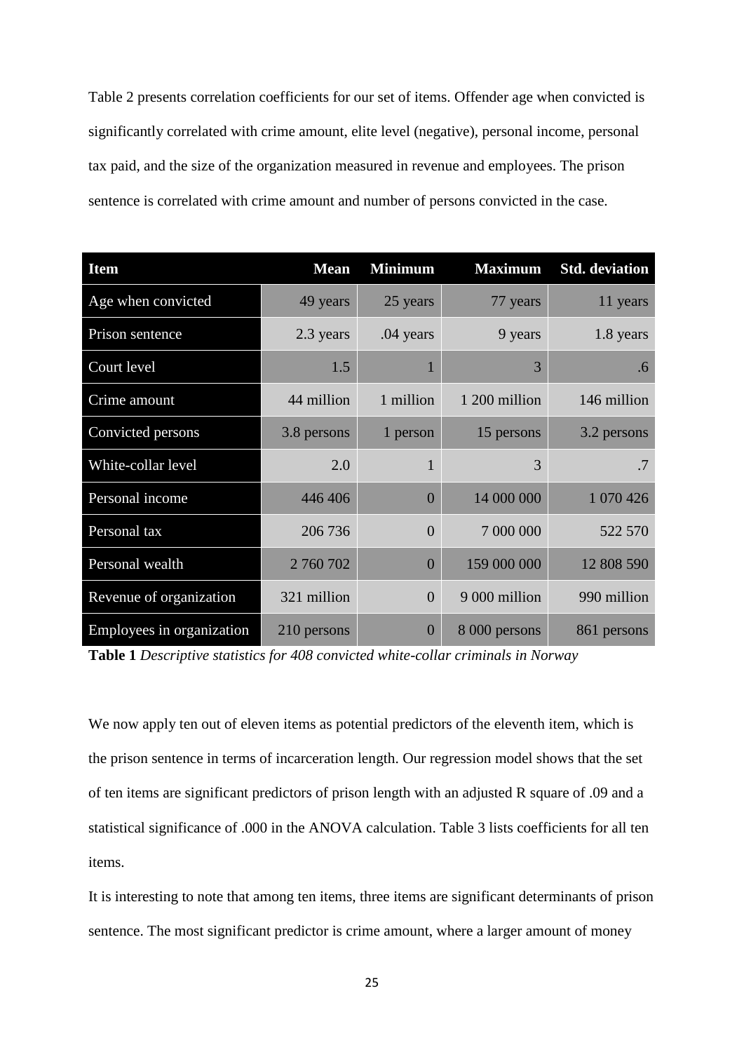Table 2 presents correlation coefficients for our set of items. Offender age when convicted is significantly correlated with crime amount, elite level (negative), personal income, personal tax paid, and the size of the organization measured in revenue and employees. The prison sentence is correlated with crime amount and number of persons convicted in the case.

| <b>Item</b>               | <b>Mean</b> | <b>Minimum</b> | <b>Maximum</b> | <b>Std.</b> deviation |
|---------------------------|-------------|----------------|----------------|-----------------------|
| Age when convicted        | 49 years    | 25 years       | 77 years       | 11 years              |
| Prison sentence           | 2.3 years   | .04 years      | 9 years        | 1.8 years             |
| Court level               | 1.5         |                | 3              | $.6\,$                |
| Crime amount              | 44 million  | 1 million      | 1 200 million  | 146 million           |
| Convicted persons         | 3.8 persons | 1 person       | 15 persons     | 3.2 persons           |
| White-collar level        | 2.0         | 1              | 3              | .7                    |
| Personal income           | 446 406     | $\Omega$       | 14 000 000     | 1 070 426             |
| Personal tax              | 206 736     | $\Omega$       | 7 000 000      | 522 570               |
| Personal wealth           | 2 760 702   | $\overline{0}$ | 159 000 000    | 12 808 590            |
| Revenue of organization   | 321 million | $\overline{0}$ | 9 000 million  | 990 million           |
| Employees in organization | 210 persons | $\overline{0}$ | 8 000 persons  | 861 persons           |

**Table 1** *Descriptive statistics for 408 convicted white-collar criminals in Norway*

We now apply ten out of eleven items as potential predictors of the eleventh item, which is the prison sentence in terms of incarceration length. Our regression model shows that the set of ten items are significant predictors of prison length with an adjusted R square of .09 and a statistical significance of .000 in the ANOVA calculation. Table 3 lists coefficients for all ten items.

It is interesting to note that among ten items, three items are significant determinants of prison sentence. The most significant predictor is crime amount, where a larger amount of money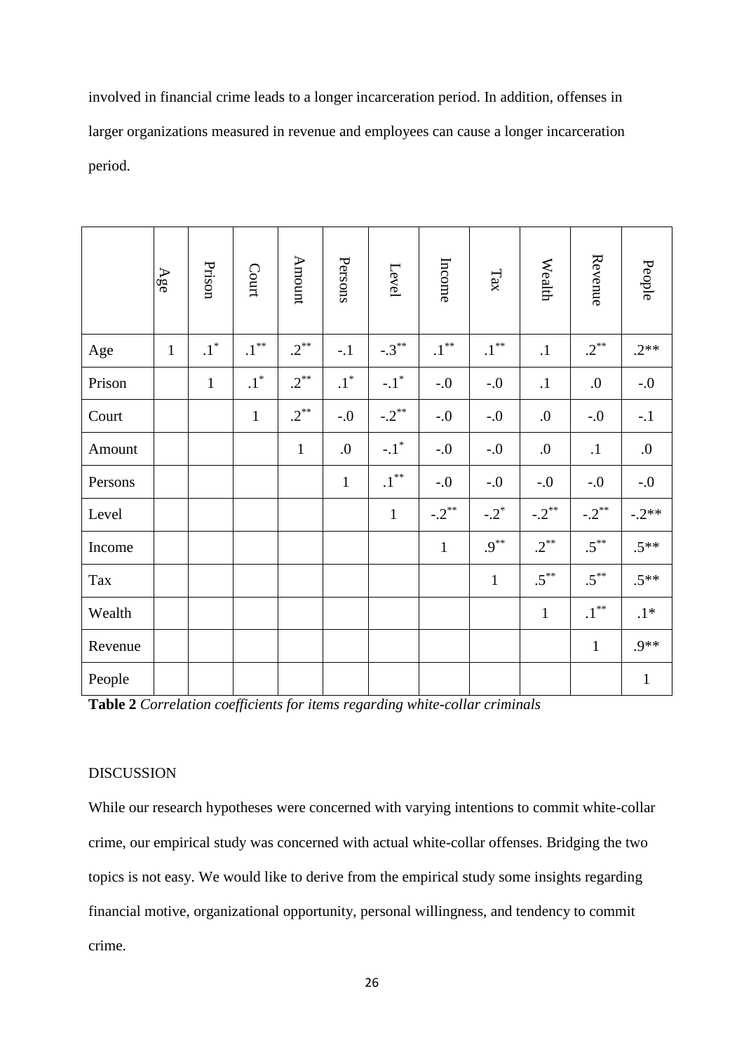involved in financial crime leads to a longer incarceration period. In addition, offenses in larger organizations measured in revenue and employees can cause a longer incarceration period.

|         | Age          | Prison | Court              | Amount       | Persons      | Level                       | Income       | $\rm{Lax}$         | Wealth              | Revenue             | People       |
|---------|--------------|--------|--------------------|--------------|--------------|-----------------------------|--------------|--------------------|---------------------|---------------------|--------------|
| Age     | $\mathbf{1}$ | $.1^*$ | $.1$ <sup>**</sup> | $.2^{**}$    | $-.1$        | $-.3***$                    | $.1***$      | $.1$ <sup>**</sup> | $\cdot$ 1           | $.2^{**}$           | $.2**$       |
| Prison  |              | $1\,$  | $.1\sp{*}$         | $.2^{**}$    | $.1\sp{*}$   | $\text{-}.1\ensuremath{^*}$ | $-0$         | $-0$               | $\cdot$ 1           | $\boldsymbol{0}$    | $-0$         |
| Court   |              |        | $\mathbf{1}$       | $.2^{**}$    | $-0$         | $-.2$ **                    | $-0$         | $-0$               | 0.                  | $-.0$               | $-.1$        |
| Amount  |              |        |                    | $\mathbf{1}$ | $.0\,$       | $\text{-}.1\sp{*}$          | $-0$         | $-0$               | 0.                  | $\cdot$             | $.0\,$       |
| Persons |              |        |                    |              | $\mathbf{1}$ | $.1^{\ast\ast}$             | $-0$         | $-0$               | $-0$                | $-.0$               | $\hbox{-}.0$ |
| Level   |              |        |                    |              |              | $\mathbf{1}$                | $-.2$ **     | $-.2$ <sup>*</sup> | $-.2$ <sup>**</sup> | $-.2$ <sup>**</sup> | $-.2**$      |
| Income  |              |        |                    |              |              |                             | $\mathbf{1}$ | $.9***$            | $.2^{**}$           | $.5***$             | $.5***$      |
| Tax     |              |        |                    |              |              |                             |              | $\mathbf{1}$       | $.5***$             | $.5***$             | $.5***$      |
| Wealth  |              |        |                    |              |              |                             |              |                    | $\mathbf{1}$        | $.1$ <sup>**</sup>  | $.1\ast$     |
| Revenue |              |        |                    |              |              |                             |              |                    |                     | $\mathbf{1}$        | .9**         |
| People  |              |        |                    |              |              |                             |              |                    |                     |                     | $\mathbf{1}$ |

**Table 2** *Correlation coefficients for items regarding white-collar criminals*

# DISCUSSION

While our research hypotheses were concerned with varying intentions to commit white-collar crime, our empirical study was concerned with actual white-collar offenses. Bridging the two topics is not easy. We would like to derive from the empirical study some insights regarding financial motive, organizational opportunity, personal willingness, and tendency to commit crime.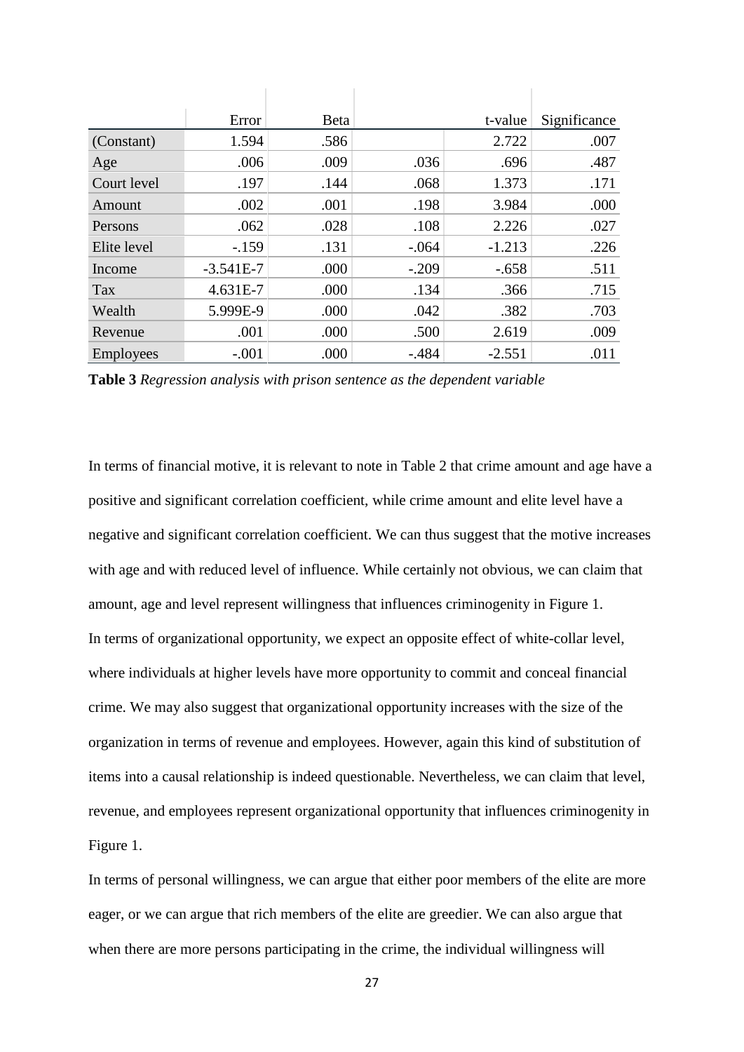|                  | Error       | <b>B</b> eta |         | t-value  |      |  |
|------------------|-------------|--------------|---------|----------|------|--|
| (Constant)       | 1.594       | .586         |         | 2.722    | .007 |  |
| Age              | .006        | .009         | .036    | .696     | .487 |  |
| Court level      | .197        | .144         | .068    | 1.373    | .171 |  |
| Amount           | .002        | .001         | .198    | 3.984    | .000 |  |
| Persons          | .062        | .028         | .108    | 2.226    | .027 |  |
| Elite level      | $-.159$     | .131         | $-.064$ | $-1.213$ | .226 |  |
| Income           | $-3.541E-7$ | .000         | $-.209$ | $-.658$  | .511 |  |
| <b>Tax</b>       | 4.631E-7    | .000         | .134    | .366     | .715 |  |
| Wealth           | 5.999E-9    | .000         | .042    | .382     | .703 |  |
| Revenue          | .001        | .000         | .500    | 2.619    | .009 |  |
| <b>Employees</b> | $-.001$     | .000         | $-.484$ | $-2.551$ | .011 |  |

 $\overline{\phantom{0}}$ 

 $\begin{array}{c} \hline \end{array}$ 

**Table 3** *Regression analysis with prison sentence as the dependent variable*

In terms of financial motive, it is relevant to note in Table 2 that crime amount and age have a positive and significant correlation coefficient, while crime amount and elite level have a negative and significant correlation coefficient. We can thus suggest that the motive increases with age and with reduced level of influence. While certainly not obvious, we can claim that amount, age and level represent willingness that influences criminogenity in Figure 1. In terms of organizational opportunity, we expect an opposite effect of white-collar level, where individuals at higher levels have more opportunity to commit and conceal financial crime. We may also suggest that organizational opportunity increases with the size of the organization in terms of revenue and employees. However, again this kind of substitution of items into a causal relationship is indeed questionable. Nevertheless, we can claim that level, revenue, and employees represent organizational opportunity that influences criminogenity in Figure 1.

In terms of personal willingness, we can argue that either poor members of the elite are more eager, or we can argue that rich members of the elite are greedier. We can also argue that when there are more persons participating in the crime, the individual willingness will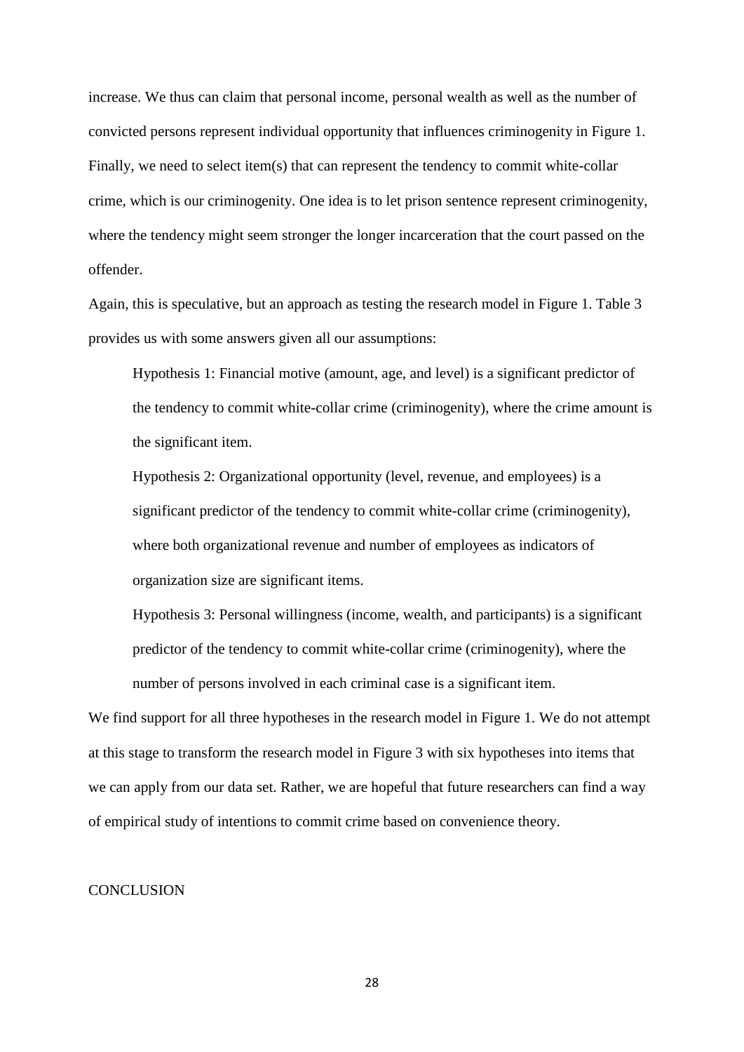increase. We thus can claim that personal income, personal wealth as well as the number of convicted persons represent individual opportunity that influences criminogenity in Figure 1. Finally, we need to select item(s) that can represent the tendency to commit white-collar crime, which is our criminogenity. One idea is to let prison sentence represent criminogenity, where the tendency might seem stronger the longer incarceration that the court passed on the offender.

Again, this is speculative, but an approach as testing the research model in Figure 1. Table 3 provides us with some answers given all our assumptions:

Hypothesis 1: Financial motive (amount, age, and level) is a significant predictor of the tendency to commit white-collar crime (criminogenity), where the crime amount is the significant item.

Hypothesis 2: Organizational opportunity (level, revenue, and employees) is a significant predictor of the tendency to commit white-collar crime (criminogenity), where both organizational revenue and number of employees as indicators of organization size are significant items.

Hypothesis 3: Personal willingness (income, wealth, and participants) is a significant predictor of the tendency to commit white-collar crime (criminogenity), where the number of persons involved in each criminal case is a significant item.

We find support for all three hypotheses in the research model in Figure 1. We do not attempt at this stage to transform the research model in Figure 3 with six hypotheses into items that we can apply from our data set. Rather, we are hopeful that future researchers can find a way of empirical study of intentions to commit crime based on convenience theory.

#### **CONCLUSION**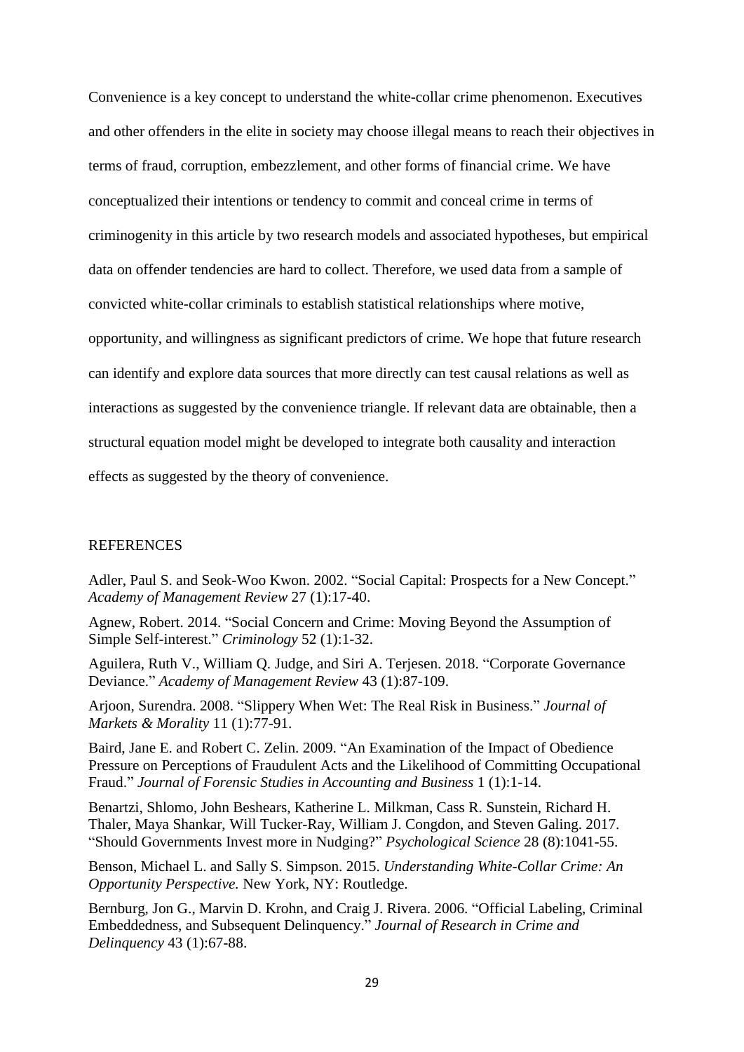Convenience is a key concept to understand the white-collar crime phenomenon. Executives and other offenders in the elite in society may choose illegal means to reach their objectives in terms of fraud, corruption, embezzlement, and other forms of financial crime. We have conceptualized their intentions or tendency to commit and conceal crime in terms of criminogenity in this article by two research models and associated hypotheses, but empirical data on offender tendencies are hard to collect. Therefore, we used data from a sample of convicted white-collar criminals to establish statistical relationships where motive, opportunity, and willingness as significant predictors of crime. We hope that future research can identify and explore data sources that more directly can test causal relations as well as interactions as suggested by the convenience triangle. If relevant data are obtainable, then a structural equation model might be developed to integrate both causality and interaction effects as suggested by the theory of convenience.

#### REFERENCES

Adler, Paul S. and Seok-Woo Kwon. 2002. "Social Capital: Prospects for a New Concept." *Academy of Management Review* 27 (1):17-40.

Agnew, Robert. 2014. "Social Concern and Crime: Moving Beyond the Assumption of Simple Self-interest." *Criminology* 52 (1):1-32.

Aguilera, Ruth V., William Q. Judge, and Siri A. Terjesen. 2018. "Corporate Governance Deviance." *Academy of Management Review* 43 (1):87-109.

Arjoon, Surendra. 2008. "Slippery When Wet: The Real Risk in Business." *Journal of Markets & Morality* 11 (1):77-91.

Baird, Jane E. and Robert C. Zelin. 2009. "An Examination of the Impact of Obedience Pressure on Perceptions of Fraudulent Acts and the Likelihood of Committing Occupational Fraud." *Journal of Forensic Studies in Accounting and Business* 1 (1):1-14.

Benartzi, Shlomo, John Beshears, Katherine L. Milkman, Cass R. Sunstein, Richard H. Thaler, Maya Shankar, Will Tucker-Ray, William J. Congdon, and Steven Galing. 2017. "Should Governments Invest more in Nudging?" *Psychological Science* 28 (8):1041-55.

Benson, Michael L. and Sally S. Simpson. 2015. *Understanding White-Collar Crime: An Opportunity Perspective.* New York, NY: Routledge.

Bernburg, Jon G., Marvin D. Krohn, and Craig J. Rivera. 2006. "Official Labeling, Criminal Embeddedness, and Subsequent Delinquency." *Journal of Research in Crime and Delinquency* 43 (1):67-88.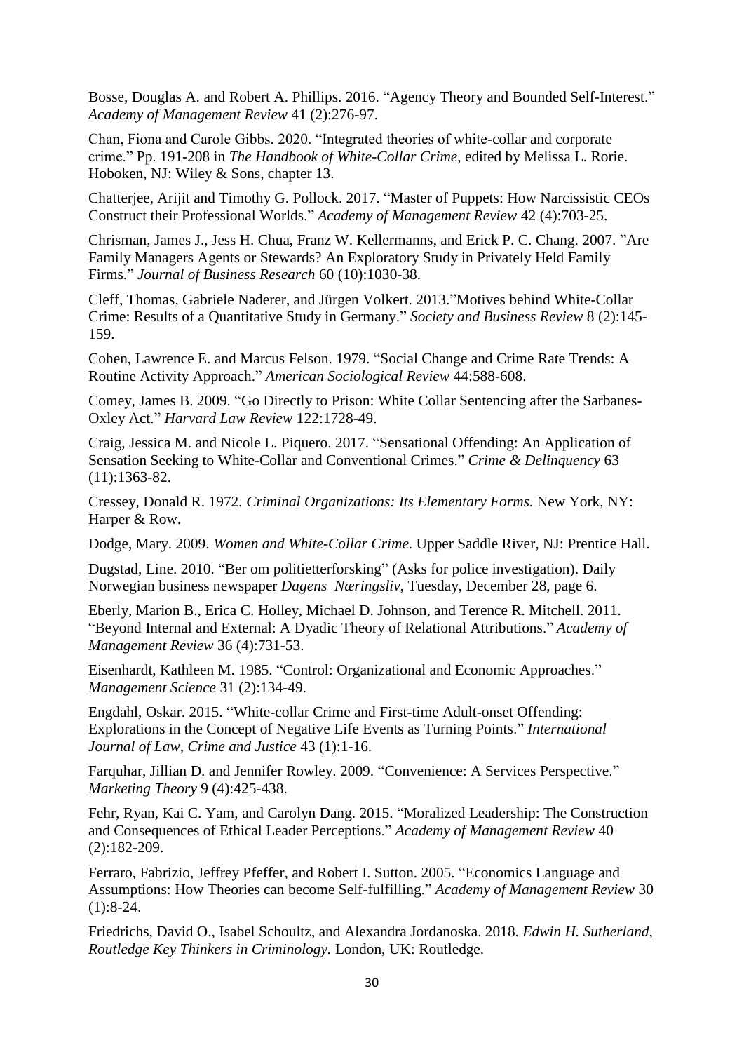Bosse, Douglas A. and Robert A. Phillips. 2016. "Agency Theory and Bounded Self-Interest." *Academy of Management Review* 41 (2):276-97.

Chan, Fiona and Carole Gibbs. 2020. "Integrated theories of white-collar and corporate crime." Pp. 191-208 in *The Handbook of White-Collar Crime*, edited by Melissa L. Rorie. Hoboken, NJ: Wiley & Sons, chapter 13.

Chatterjee, Arijit and Timothy G. Pollock. 2017. "Master of Puppets: How Narcissistic CEOs Construct their Professional Worlds." *Academy of Management Review* 42 (4):703-25.

Chrisman, James J., Jess H. Chua, Franz W. Kellermanns, and Erick P. C. Chang. 2007. "Are Family Managers Agents or Stewards? An Exploratory Study in Privately Held Family Firms." *Journal of Business Research* 60 (10):1030-38.

Cleff, Thomas, Gabriele Naderer, and Jürgen Volkert. 2013."Motives behind White-Collar Crime: Results of a Quantitative Study in Germany." *Society and Business Review* 8 (2):145- 159.

Cohen, Lawrence E. and Marcus Felson. 1979. "Social Change and Crime Rate Trends: A Routine Activity Approach." *American Sociological Review* 44:588-608.

Comey, James B. 2009. "Go Directly to Prison: White Collar Sentencing after the Sarbanes-Oxley Act." *Harvard Law Review* 122:1728-49.

Craig, Jessica M. and Nicole L. Piquero. 2017. "Sensational Offending: An Application of Sensation Seeking to White-Collar and Conventional Crimes." *Crime & Delinquency* 63 (11):1363-82.

Cressey, Donald R. 1972*. Criminal Organizations: Its Elementary Forms.* New York, NY: Harper & Row.

Dodge, Mary. 2009. *Women and White-Collar Crime*. Upper Saddle River, NJ: Prentice Hall.

Dugstad, Line. 2010. "Ber om politietterforsking" (Asks for police investigation). Daily Norwegian business newspaper *Dagens Næringsliv*, Tuesday, December 28, page 6.

Eberly, Marion B., Erica C. Holley, Michael D. Johnson, and Terence R. Mitchell. 2011. "Beyond Internal and External: A Dyadic Theory of Relational Attributions." *Academy of Management Review* 36 (4):731-53.

Eisenhardt, Kathleen M. 1985. "Control: Organizational and Economic Approaches." *Management Science* 31 (2):134-49.

Engdahl, Oskar. 2015. "White-collar Crime and First-time Adult-onset Offending: Explorations in the Concept of Negative Life Events as Turning Points." *International Journal of Law, Crime and Justice* 43 (1):1-16.

Farquhar, Jillian D. and Jennifer Rowley. 2009. "Convenience: A Services Perspective." *Marketing Theory* 9 (4):425-438.

Fehr, Ryan, Kai C. Yam, and Carolyn Dang. 2015. "Moralized Leadership: The Construction and Consequences of Ethical Leader Perceptions." *Academy of Management Review* 40 (2):182-209.

Ferraro, Fabrizio, Jeffrey Pfeffer, and Robert I. Sutton. 2005. "Economics Language and Assumptions: How Theories can become Self-fulfilling." *Academy of Management Review* 30  $(1):8-24.$ 

Friedrichs, David O., Isabel Schoultz, and Alexandra Jordanoska. 2018. *Edwin H. Sutherland, Routledge Key Thinkers in Criminology.* London, UK: Routledge.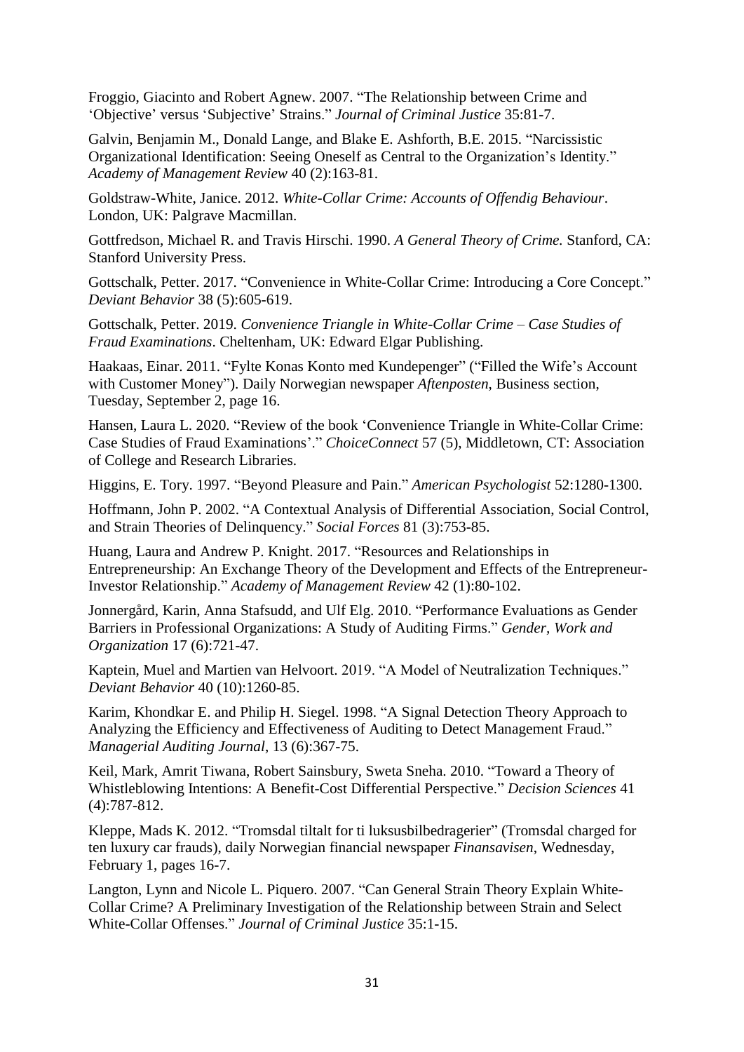Froggio, Giacinto and Robert Agnew. 2007. "The Relationship between Crime and 'Objective' versus 'Subjective' Strains." *Journal of Criminal Justice* 35:81-7.

Galvin, Benjamin M., Donald Lange, and Blake E. Ashforth, B.E. 2015. "Narcissistic Organizational Identification: Seeing Oneself as Central to the Organization's Identity." *Academy of Management Review* 40 (2):163-81.

Goldstraw-White, Janice. 2012. *White-Collar Crime: Accounts of Offendig Behaviour*. London, UK: Palgrave Macmillan.

Gottfredson, Michael R. and Travis Hirschi. 1990. *A General Theory of Crime.* Stanford, CA: Stanford University Press.

Gottschalk, Petter. 2017. "Convenience in White-Collar Crime: Introducing a Core Concept." *Deviant Behavior* 38 (5):605-619.

Gottschalk, Petter. 2019. *Convenience Triangle in White-Collar Crime – Case Studies of Fraud Examinations*. Cheltenham, UK: Edward Elgar Publishing.

Haakaas, Einar. 2011. "Fylte Konas Konto med Kundepenger" ("Filled the Wife's Account with Customer Money"). Daily Norwegian newspaper *Aftenposten*, Business section, Tuesday, September 2, page 16.

Hansen, Laura L. 2020. "Review of the book 'Convenience Triangle in White-Collar Crime: Case Studies of Fraud Examinations'." *ChoiceConnect* 57 (5), Middletown, CT: Association of College and Research Libraries.

Higgins, E. Tory. 1997. "Beyond Pleasure and Pain." *American Psychologist* 52:1280-1300.

Hoffmann, John P. 2002. "A Contextual Analysis of Differential Association, Social Control, and Strain Theories of Delinquency." *Social Forces* 81 (3):753-85.

Huang, Laura and Andrew P. Knight. 2017. "Resources and Relationships in Entrepreneurship: An Exchange Theory of the Development and Effects of the Entrepreneur-Investor Relationship." *Academy of Management Review* 42 (1):80-102.

Jonnergård, Karin, Anna Stafsudd, and Ulf Elg. 2010. "Performance Evaluations as Gender Barriers in Professional Organizations: A Study of Auditing Firms." *Gender, Work and Organization* 17 (6):721-47.

Kaptein, Muel and Martien van Helvoort. 2019. "A Model of Neutralization Techniques." *Deviant Behavior* 40 (10):1260-85.

Karim, Khondkar E. and Philip H. Siegel. 1998. "A Signal Detection Theory Approach to Analyzing the Efficiency and Effectiveness of Auditing to Detect Management Fraud." *Managerial Auditing Journal*, 13 (6):367-75.

Keil, Mark, Amrit Tiwana, Robert Sainsbury, Sweta Sneha. 2010. "Toward a Theory of Whistleblowing Intentions: A Benefit-Cost Differential Perspective." *Decision Sciences* 41 (4):787-812.

Kleppe, Mads K. 2012. "Tromsdal tiltalt for ti luksusbilbedragerier" (Tromsdal charged for ten luxury car frauds), daily Norwegian financial newspaper *Finansavisen*, Wednesday, February 1, pages 16-7.

Langton, Lynn and Nicole L. Piquero. 2007. "Can General Strain Theory Explain White-Collar Crime? A Preliminary Investigation of the Relationship between Strain and Select White-Collar Offenses." *Journal of Criminal Justice* 35:1-15.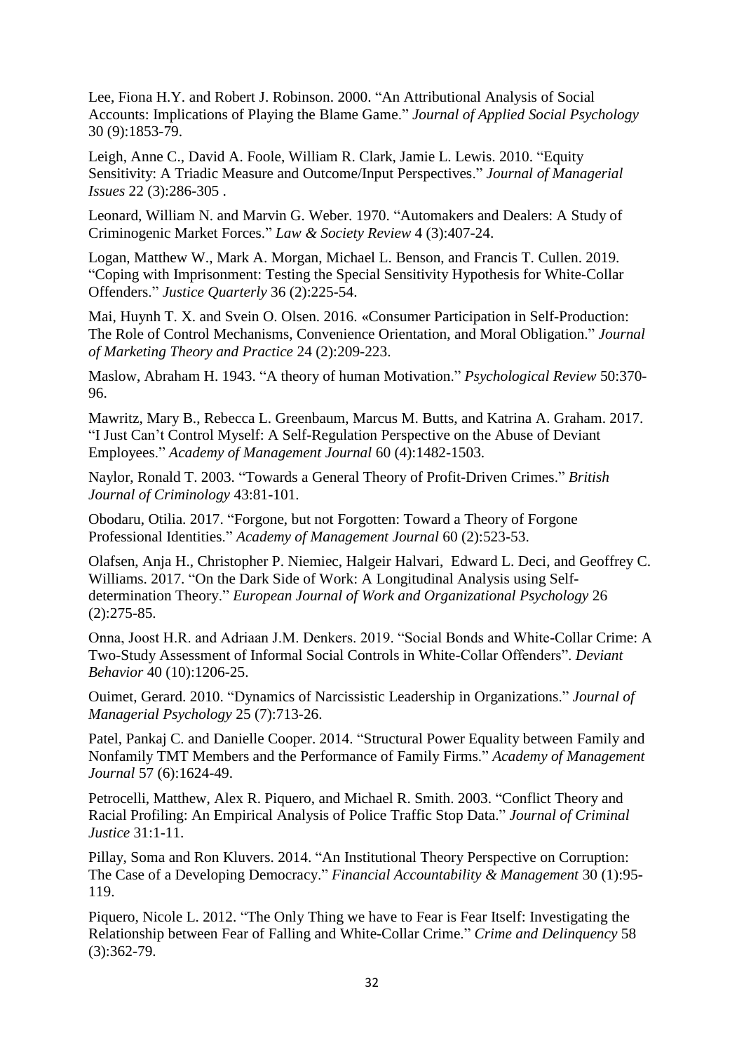Lee, Fiona H.Y. and Robert J. Robinson. 2000. "An Attributional Analysis of Social Accounts: Implications of Playing the Blame Game." *Journal of Applied Social Psychology* 30 (9):1853-79.

Leigh, Anne C., David A. Foole, William R. Clark, Jamie L. Lewis. 2010. "Equity Sensitivity: A Triadic Measure and Outcome/Input Perspectives." *Journal of Managerial Issues* 22 (3):286-305 .

Leonard, William N. and Marvin G. Weber. 1970. "Automakers and Dealers: A Study of Criminogenic Market Forces." *Law & Society Review* 4 (3):407-24.

Logan, Matthew W., Mark A. Morgan, Michael L. Benson, and Francis T. Cullen. 2019. "Coping with Imprisonment: Testing the Special Sensitivity Hypothesis for White-Collar Offenders." *Justice Quarterly* 36 (2):225-54.

Mai, Huynh T. X. and Svein O. Olsen. 2016. «Consumer Participation in Self-Production: The Role of Control Mechanisms, Convenience Orientation, and Moral Obligation." *Journal of Marketing Theory and Practice* 24 (2):209-223.

Maslow, Abraham H. 1943. "A theory of human Motivation." *Psychological Review* 50:370- 96.

Mawritz, Mary B., Rebecca L. Greenbaum, Marcus M. Butts, and Katrina A. Graham. 2017. "I Just Can't Control Myself: A Self-Regulation Perspective on the Abuse of Deviant Employees." *Academy of Management Journal* 60 (4):1482-1503.

Naylor, Ronald T. 2003. "Towards a General Theory of Profit-Driven Crimes." *British Journal of Criminology* 43:81-101.

Obodaru, Otilia. 2017. "Forgone, but not Forgotten: Toward a Theory of Forgone Professional Identities." *Academy of Management Journal* 60 (2):523-53.

Olafsen, Anja H., Christopher P. Niemiec, Halgeir Halvari, Edward L. Deci, and Geoffrey C. Williams. 2017. "On the Dark Side of Work: A Longitudinal Analysis using Selfdetermination Theory." *European Journal of Work and Organizational Psychology* 26 (2):275-85.

Onna, Joost H.R. and Adriaan J.M. Denkers. 2019. "Social Bonds and White-Collar Crime: A Two-Study Assessment of Informal Social Controls in White-Collar Offenders". *Deviant Behavior* 40 (10):1206-25.

Ouimet, Gerard. 2010. "Dynamics of Narcissistic Leadership in Organizations." *Journal of Managerial Psychology* 25 (7):713-26.

Patel, Pankaj C. and Danielle Cooper. 2014. "Structural Power Equality between Family and Nonfamily TMT Members and the Performance of Family Firms." *Academy of Management Journal* 57 (6):1624-49.

Petrocelli, Matthew, Alex R. Piquero, and Michael R. Smith. 2003. "Conflict Theory and Racial Profiling: An Empirical Analysis of Police Traffic Stop Data." *Journal of Criminal Justice* 31:1-11.

Pillay, Soma and Ron Kluvers. 2014. "An Institutional Theory Perspective on Corruption: The Case of a Developing Democracy." *Financial Accountability & Management* 30 (1):95- 119.

Piquero, Nicole L. 2012. "The Only Thing we have to Fear is Fear Itself: Investigating the Relationship between Fear of Falling and White-Collar Crime." *Crime and Delinquency* 58 (3):362-79.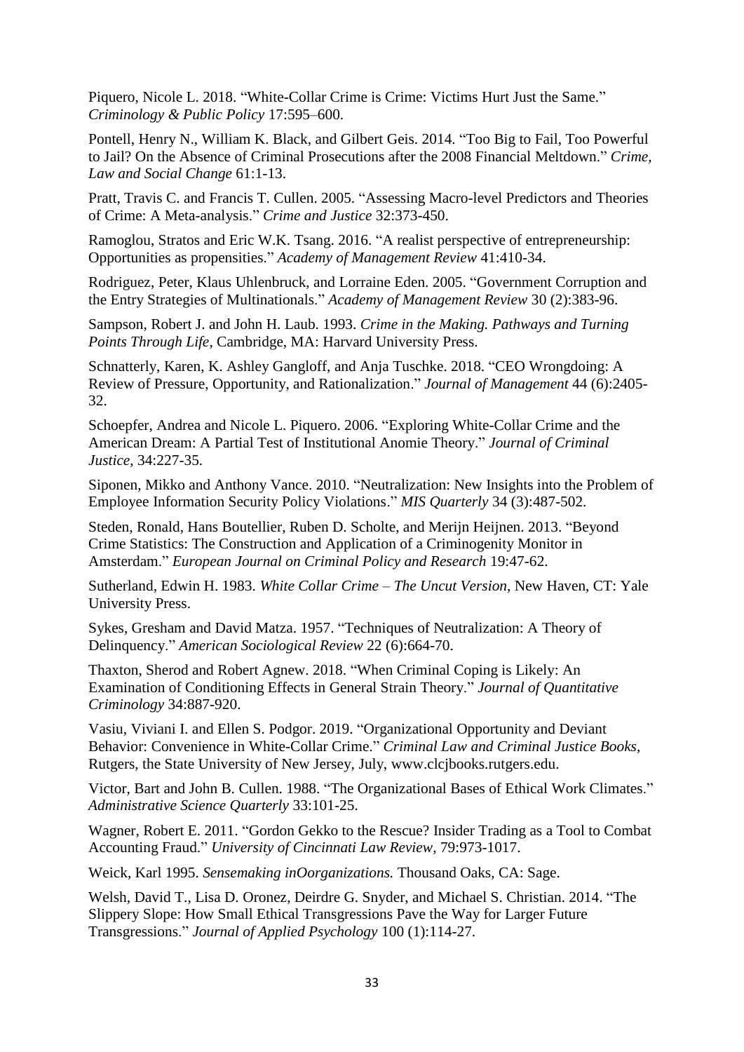Piquero, Nicole L. 2018. "White-Collar Crime is Crime: Victims Hurt Just the Same." *Criminology & Public Policy* 17:595–600.

Pontell, Henry N., William K. Black, and Gilbert Geis. 2014. "Too Big to Fail, Too Powerful to Jail? On the Absence of Criminal Prosecutions after the 2008 Financial Meltdown." *Crime, Law and Social Change* 61:1-13.

Pratt, Travis C. and Francis T. Cullen. 2005. "Assessing Macro-level Predictors and Theories of Crime: A Meta-analysis." *Crime and Justice* 32:373-450.

Ramoglou, Stratos and Eric W.K. Tsang. 2016. "A realist perspective of entrepreneurship: Opportunities as propensities." *Academy of Management Review* 41:410-34.

Rodriguez, Peter, Klaus Uhlenbruck, and Lorraine Eden. 2005. "Government Corruption and the Entry Strategies of Multinationals." *Academy of Management Review* 30 (2):383-96.

Sampson, Robert J. and John H. Laub. 1993. *Crime in the Making. Pathways and Turning Points Through Life*, Cambridge, MA: Harvard University Press.

Schnatterly, Karen, K. Ashley Gangloff, and Anja Tuschke. 2018. "CEO Wrongdoing: A Review of Pressure, Opportunity, and Rationalization." *Journal of Management* 44 (6):2405- 32.

Schoepfer, Andrea and Nicole L. Piquero. 2006. "Exploring White-Collar Crime and the American Dream: A Partial Test of Institutional Anomie Theory." *Journal of Criminal Justice*, 34:227-35.

Siponen, Mikko and Anthony Vance. 2010. "Neutralization: New Insights into the Problem of Employee Information Security Policy Violations." *MIS Quarterly* 34 (3):487-502.

Steden, Ronald, Hans Boutellier, Ruben D. Scholte, and Merijn Heijnen. 2013. "Beyond Crime Statistics: The Construction and Application of a Criminogenity Monitor in Amsterdam." *European Journal on Criminal Policy and Research* 19:47-62.

Sutherland, Edwin H. 1983. *White Collar Crime – The Uncut Version*, New Haven, CT: Yale University Press.

Sykes, Gresham and David Matza. 1957. "Techniques of Neutralization: A Theory of Delinquency." *American Sociological Review* 22 (6):664-70.

Thaxton, Sherod and Robert Agnew. 2018. "When Criminal Coping is Likely: An Examination of Conditioning Effects in General Strain Theory." *Journal of Quantitative Criminology* 34:887-920.

Vasiu, Viviani I. and Ellen S. Podgor. 2019. "Organizational Opportunity and Deviant Behavior: Convenience in White-Collar Crime." *Criminal Law and Criminal Justice Books*, Rutgers, the State University of New Jersey, July, www.clcjbooks.rutgers.edu.

Victor, Bart and John B. Cullen. 1988. "The Organizational Bases of Ethical Work Climates." *Administrative Science Quarterly* 33:101-25.

Wagner, Robert E. 2011. "Gordon Gekko to the Rescue? Insider Trading as a Tool to Combat Accounting Fraud." *University of Cincinnati Law Review*, 79:973-1017.

Weick, Karl 1995. *Sensemaking inOorganizations.* Thousand Oaks, CA: Sage.

Welsh, David T., Lisa D. Oronez, Deirdre G. Snyder, and Michael S. Christian. 2014. "The Slippery Slope: How Small Ethical Transgressions Pave the Way for Larger Future Transgressions." *Journal of Applied Psychology* 100 (1):114-27.